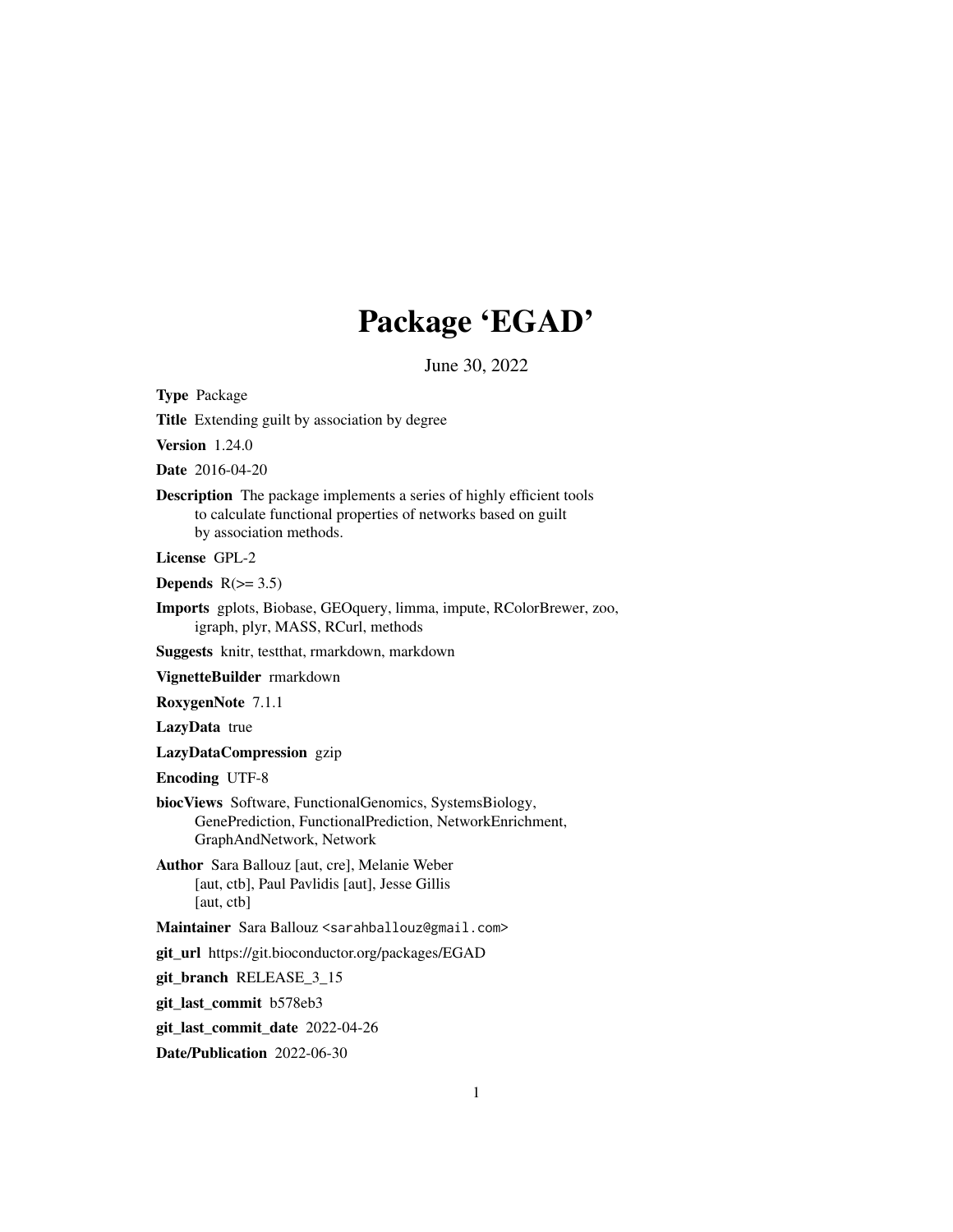# Package 'EGAD'

June 30, 2022

<span id="page-0-0"></span>Type Package

Title Extending guilt by association by degree

Version 1.24.0

Date 2016-04-20

Description The package implements a series of highly efficient tools to calculate functional properties of networks based on guilt by association methods.

License GPL-2

Depends  $R(>= 3.5)$ 

Imports gplots, Biobase, GEOquery, limma, impute, RColorBrewer, zoo, igraph, plyr, MASS, RCurl, methods

Suggests knitr, testthat, rmarkdown, markdown

VignetteBuilder rmarkdown

RoxygenNote 7.1.1

LazyData true

LazyDataCompression gzip

Encoding UTF-8

- biocViews Software, FunctionalGenomics, SystemsBiology, GenePrediction, FunctionalPrediction, NetworkEnrichment, GraphAndNetwork, Network
- Author Sara Ballouz [aut, cre], Melanie Weber [aut, ctb], Paul Pavlidis [aut], Jesse Gillis [aut, ctb]

Maintainer Sara Ballouz <sarahballouz@gmail.com>

git\_url https://git.bioconductor.org/packages/EGAD

git\_branch RELEASE\_3\_15

git\_last\_commit b578eb3

git\_last\_commit\_date 2022-04-26

Date/Publication 2022-06-30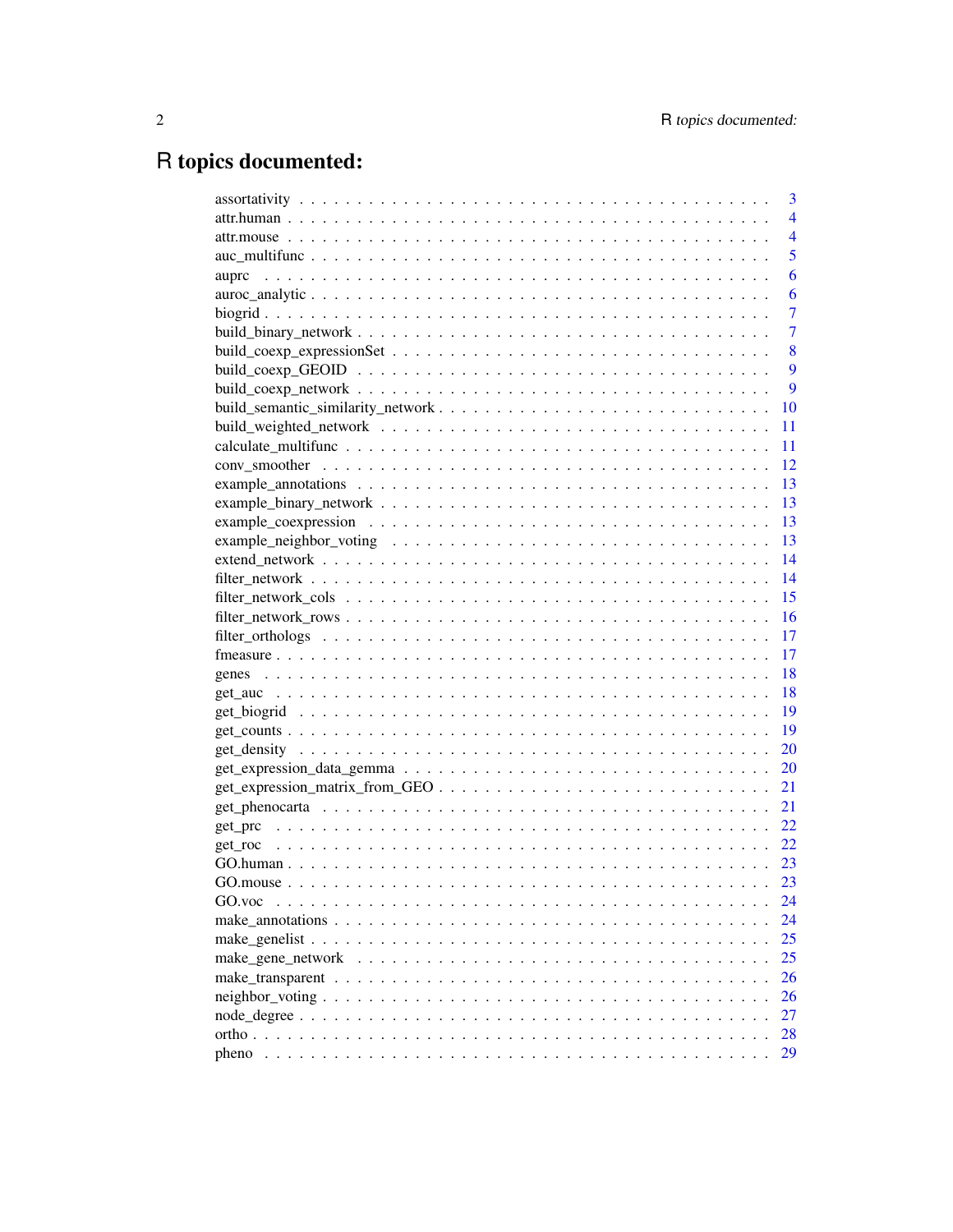## R topics documented:

|        | 3              |
|--------|----------------|
|        | $\overline{4}$ |
|        | $\overline{4}$ |
|        | 5              |
|        | 6              |
|        | 6              |
|        | 7              |
|        | 7              |
|        | 8              |
|        | 9              |
|        | 9              |
|        | 10             |
|        | 11             |
|        | 11             |
|        | 12             |
|        | 13             |
|        | 13             |
|        | 13             |
|        | -13            |
|        |                |
|        | 14             |
|        | 15             |
|        | 16             |
|        | 17             |
|        | 17             |
|        | 18             |
|        | 18             |
|        | 19             |
|        | 19             |
|        | 20             |
|        | 20             |
|        | 21             |
|        | 21             |
|        | 22             |
|        | 22             |
|        | 23             |
|        | 23             |
| GO.voc | 24             |
|        | 24             |
|        | 25             |
|        | 25             |
|        | 26             |
|        | 26             |
|        | 27             |
|        | 28             |
| pheno  | 29             |
|        |                |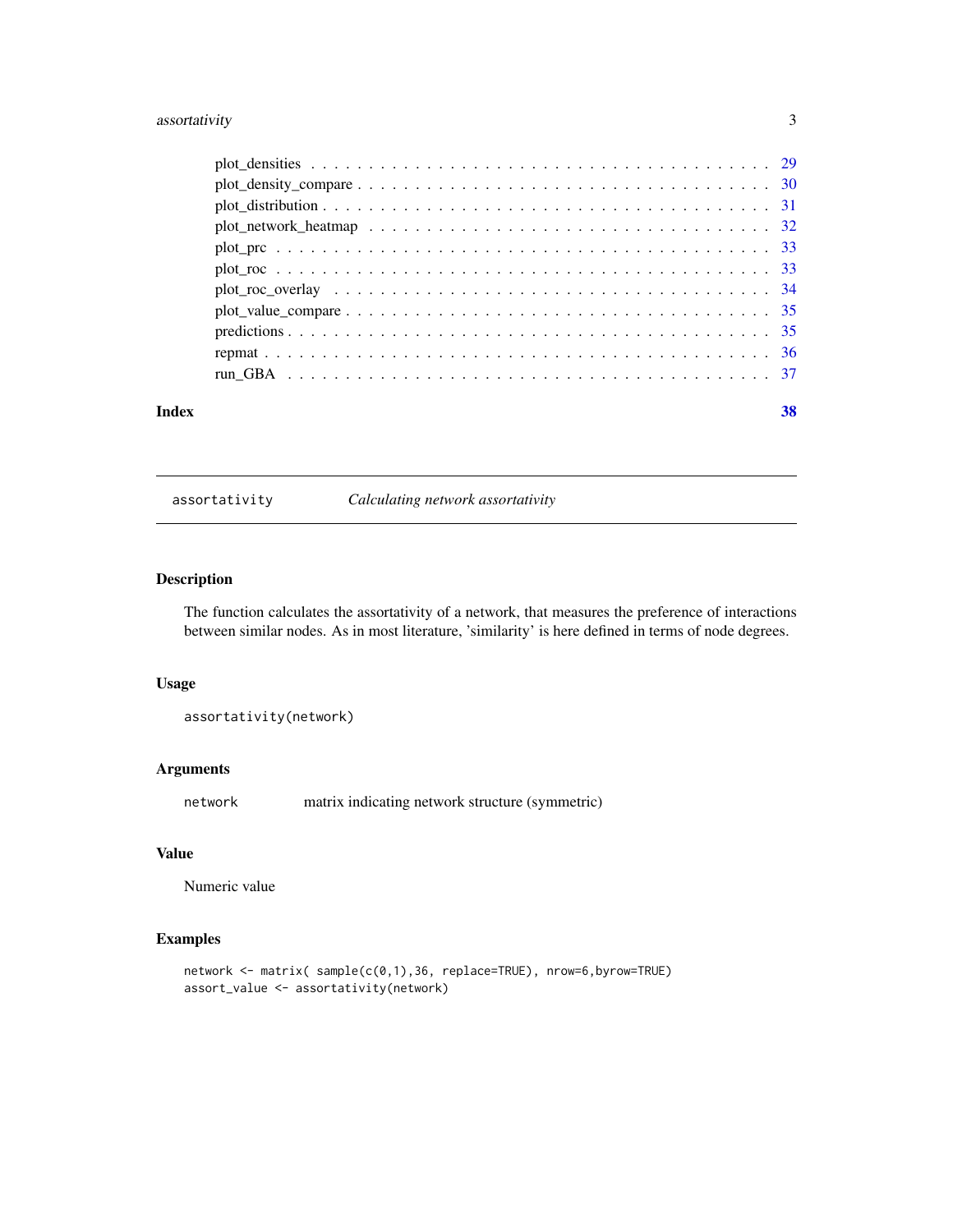#### <span id="page-2-0"></span>assortativity 3

|       | $plot\_density\_compare \ldots \ldots \ldots \ldots \ldots \ldots \ldots \ldots \ldots \ldots \ldots 30$ |    |
|-------|----------------------------------------------------------------------------------------------------------|----|
|       |                                                                                                          |    |
|       |                                                                                                          |    |
|       |                                                                                                          |    |
|       |                                                                                                          |    |
|       |                                                                                                          |    |
|       |                                                                                                          |    |
|       |                                                                                                          |    |
|       |                                                                                                          |    |
|       |                                                                                                          |    |
| Index |                                                                                                          | 38 |

assortativity *Calculating network assortativity*

#### Description

The function calculates the assortativity of a network, that measures the preference of interactions between similar nodes. As in most literature, 'similarity' is here defined in terms of node degrees.

#### Usage

assortativity(network)

#### Arguments

network matrix indicating network structure (symmetric)

#### Value

Numeric value

```
network <- matrix( sample(c(0,1),36, replace=TRUE), nrow=6,byrow=TRUE)
assort_value <- assortativity(network)
```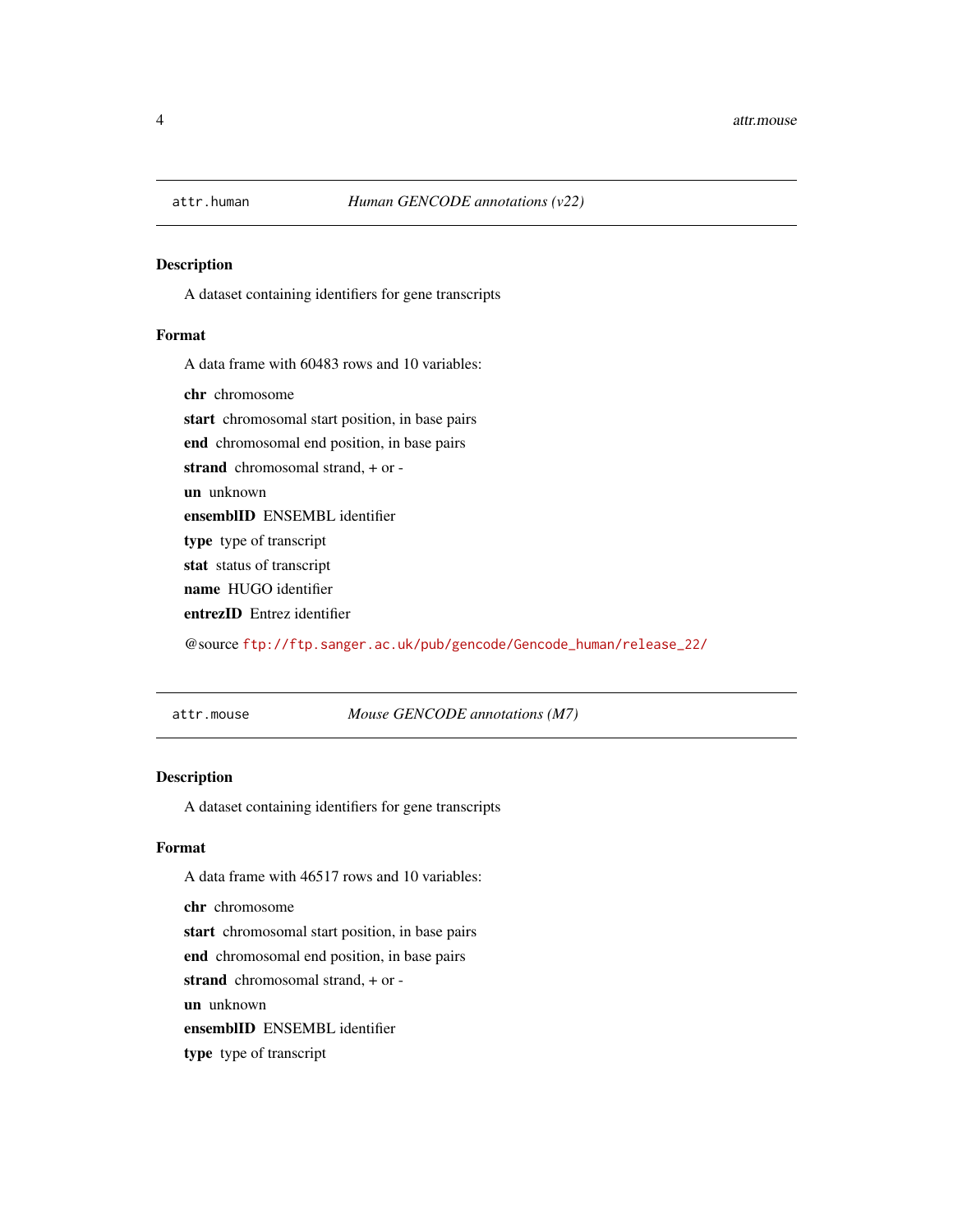<span id="page-3-0"></span>

A dataset containing identifiers for gene transcripts

#### Format

A data frame with 60483 rows and 10 variables:

chr chromosome

start chromosomal start position, in base pairs

end chromosomal end position, in base pairs

strand chromosomal strand, + or -

un unknown

ensemblID ENSEMBL identifier

type type of transcript

stat status of transcript

name HUGO identifier

entrezID Entrez identifier

@source [ftp://ftp.sanger.ac.uk/pub/gencode/Gencode\\_human/release\\_22/](ftp://ftp.sanger.ac.uk/pub/gencode/Gencode_human/release_22/)

attr.mouse *Mouse GENCODE annotations (M7)*

#### Description

A dataset containing identifiers for gene transcripts

#### Format

A data frame with 46517 rows and 10 variables:

chr chromosome

start chromosomal start position, in base pairs

end chromosomal end position, in base pairs

strand chromosomal strand, + or -

un unknown

ensemblID ENSEMBL identifier

type type of transcript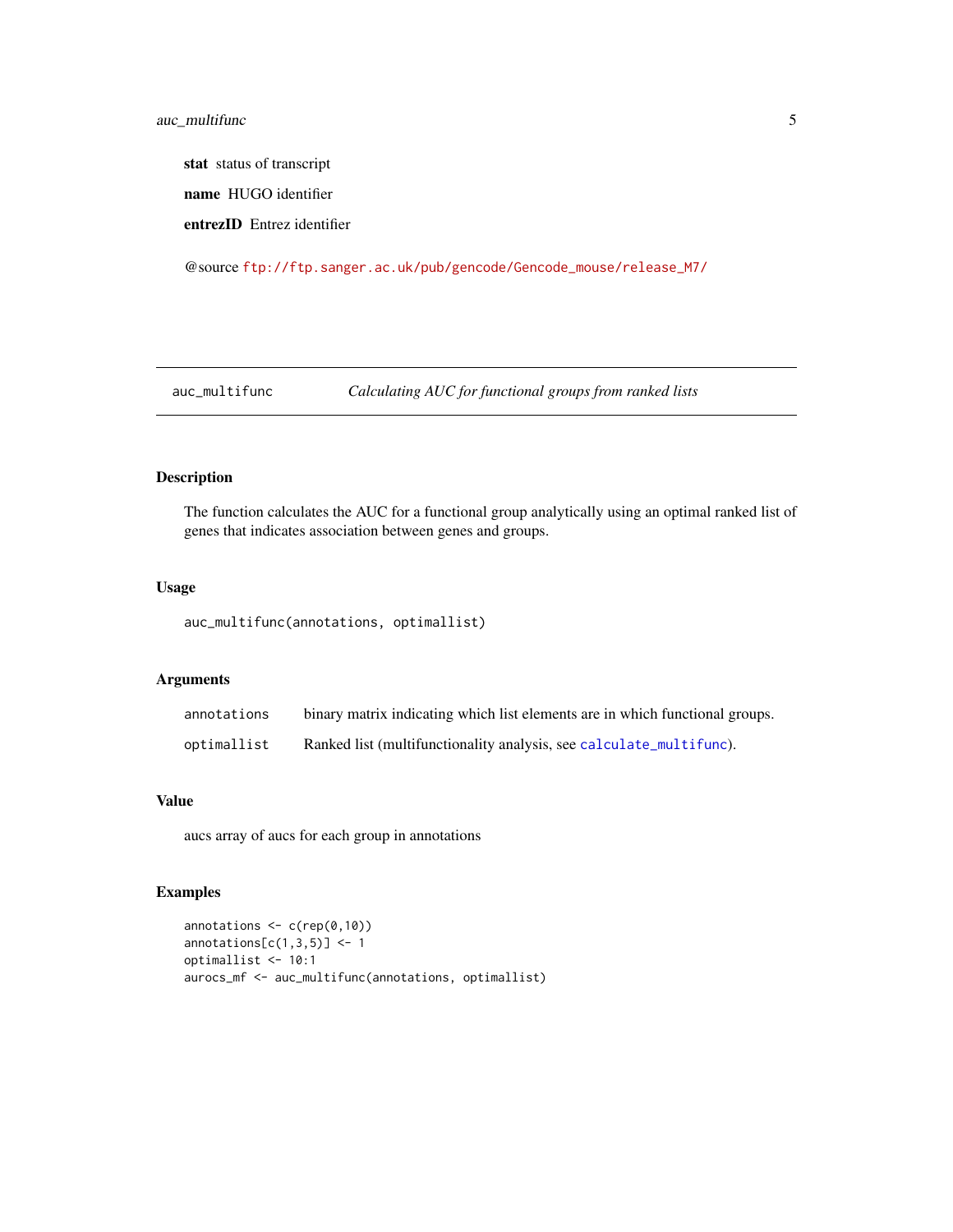<span id="page-4-0"></span>stat status of transcript name HUGO identifier

entrezID Entrez identifier

@source [ftp://ftp.sanger.ac.uk/pub/gencode/Gencode\\_mouse/release\\_M7/](ftp://ftp.sanger.ac.uk/pub/gencode/Gencode_mouse/release_M7/)

auc\_multifunc *Calculating AUC for functional groups from ranked lists*

#### Description

The function calculates the AUC for a functional group analytically using an optimal ranked list of genes that indicates association between genes and groups.

#### Usage

auc\_multifunc(annotations, optimallist)

#### Arguments

| annotations | binary matrix indicating which list elements are in which functional groups. |
|-------------|------------------------------------------------------------------------------|
| optimallist | Ranked list (multifunctionality analysis, see calculate_multifunc).          |

#### Value

aucs array of aucs for each group in annotations

```
annotations <- c(rep(0,10))
annotations[c(1,3,5)] \leftarrow 1optimallist <- 10:1
aurocs_mf <- auc_multifunc(annotations, optimallist)
```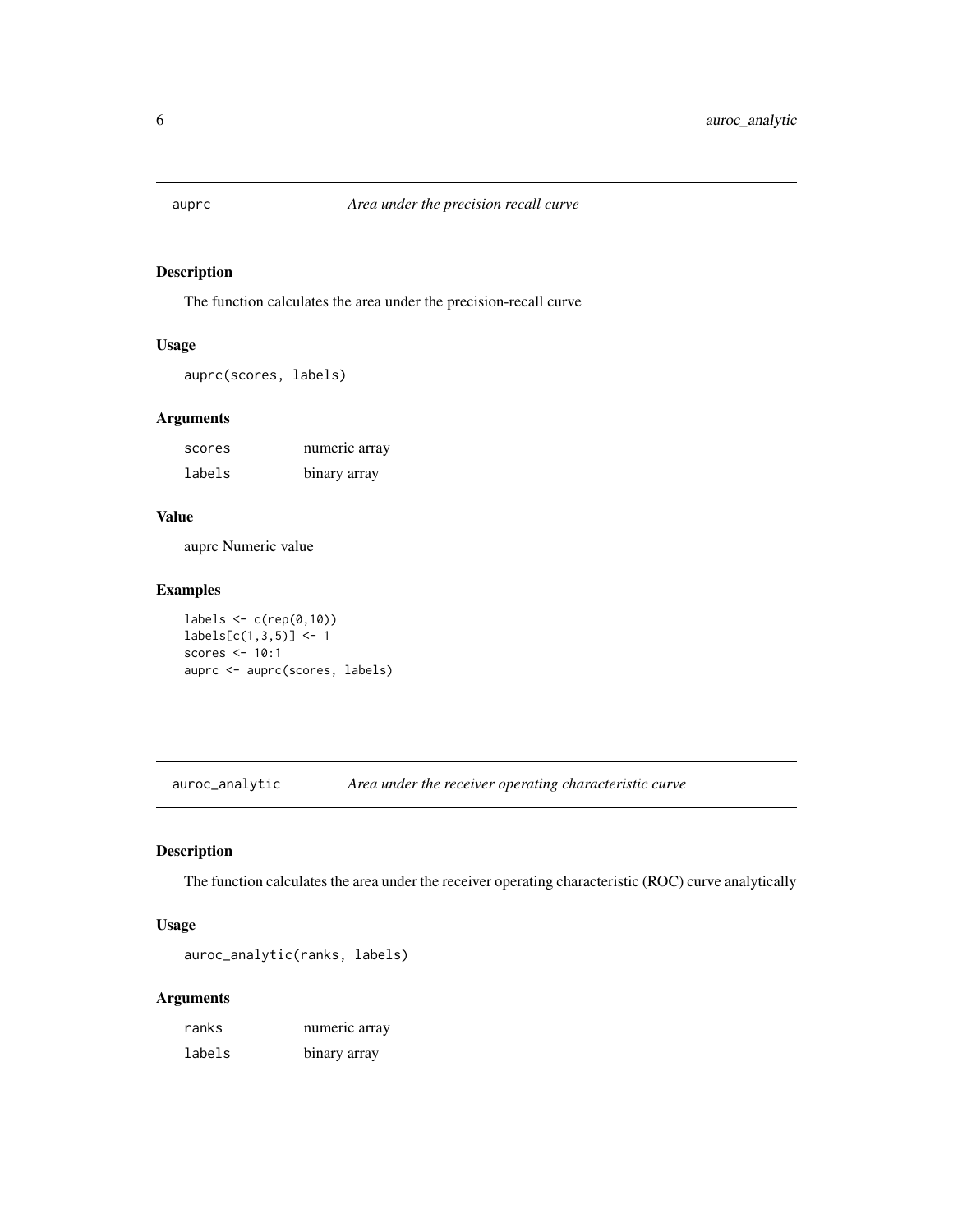<span id="page-5-0"></span>

The function calculates the area under the precision-recall curve

#### Usage

auprc(scores, labels)

#### Arguments

| scores | numeric array |
|--------|---------------|
| labels | binary array  |

#### Value

auprc Numeric value

### Examples

labels  $\leq c$  (rep(0,10))  $labels[c(1,3,5)] < -1$ scores <- 10:1 auprc <- auprc(scores, labels)

auroc\_analytic *Area under the receiver operating characteristic curve*

#### Description

The function calculates the area under the receiver operating characteristic (ROC) curve analytically

#### Usage

auroc\_analytic(ranks, labels)

| ranks  | numeric array |
|--------|---------------|
| labels | binary array  |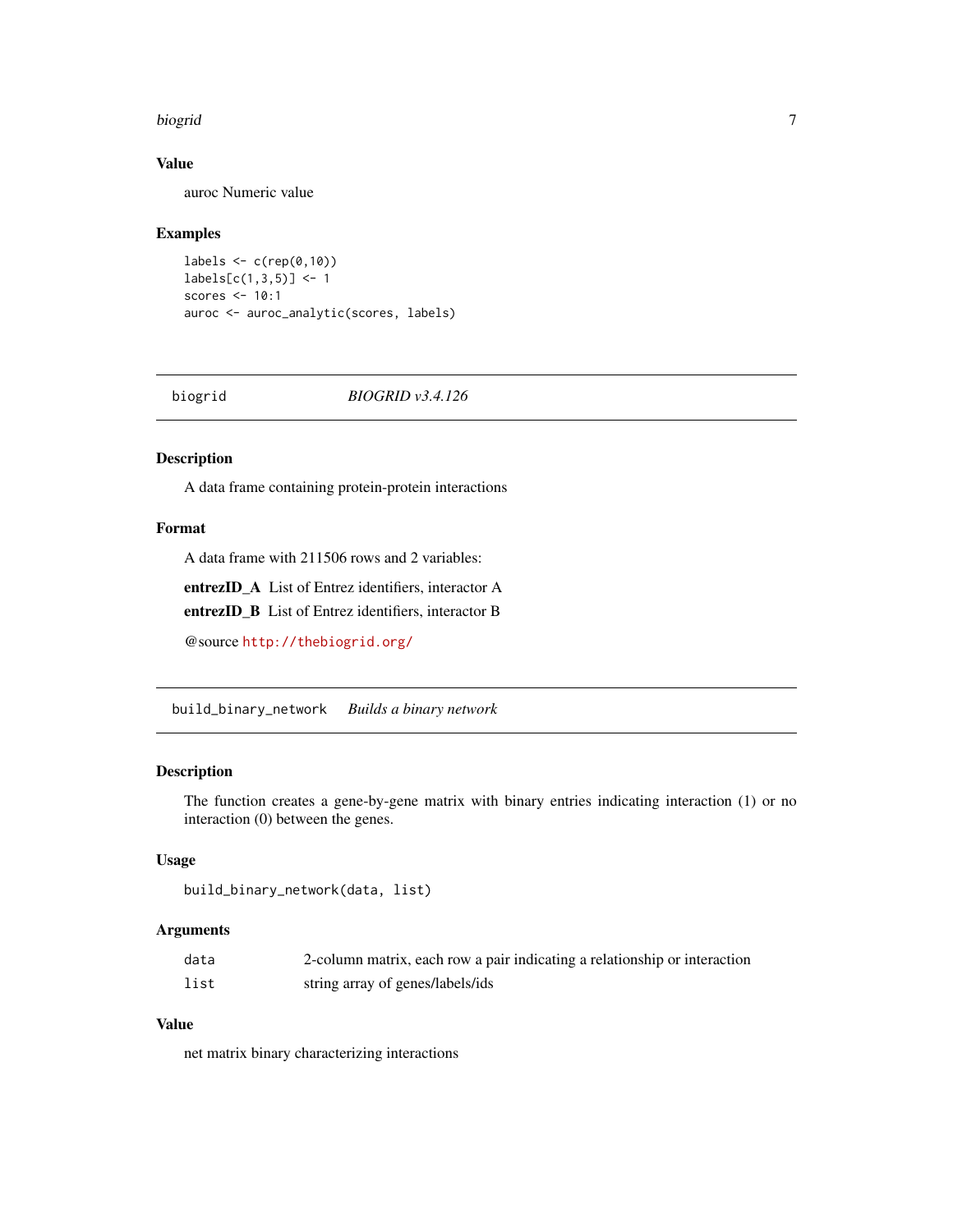#### <span id="page-6-0"></span>biogrid 7

#### Value

auroc Numeric value

#### Examples

```
labels \leq c(rep(0,10))
labels[c(1,3,5)] < -1scores <- 10:1
auroc <- auroc_analytic(scores, labels)
```
biogrid *BIOGRID v3.4.126*

#### Description

A data frame containing protein-protein interactions

#### Format

A data frame with 211506 rows and 2 variables:

entrezID\_A List of Entrez identifiers, interactor A

entrezID\_B List of Entrez identifiers, interactor B

@source <http://thebiogrid.org/>

build\_binary\_network *Builds a binary network*

#### Description

The function creates a gene-by-gene matrix with binary entries indicating interaction (1) or no interaction (0) between the genes.

#### Usage

```
build_binary_network(data, list)
```
#### Arguments

| data | 2-column matrix, each row a pair indicating a relationship or interaction |
|------|---------------------------------------------------------------------------|
| list | string array of genes/labels/ids                                          |

#### Value

net matrix binary characterizing interactions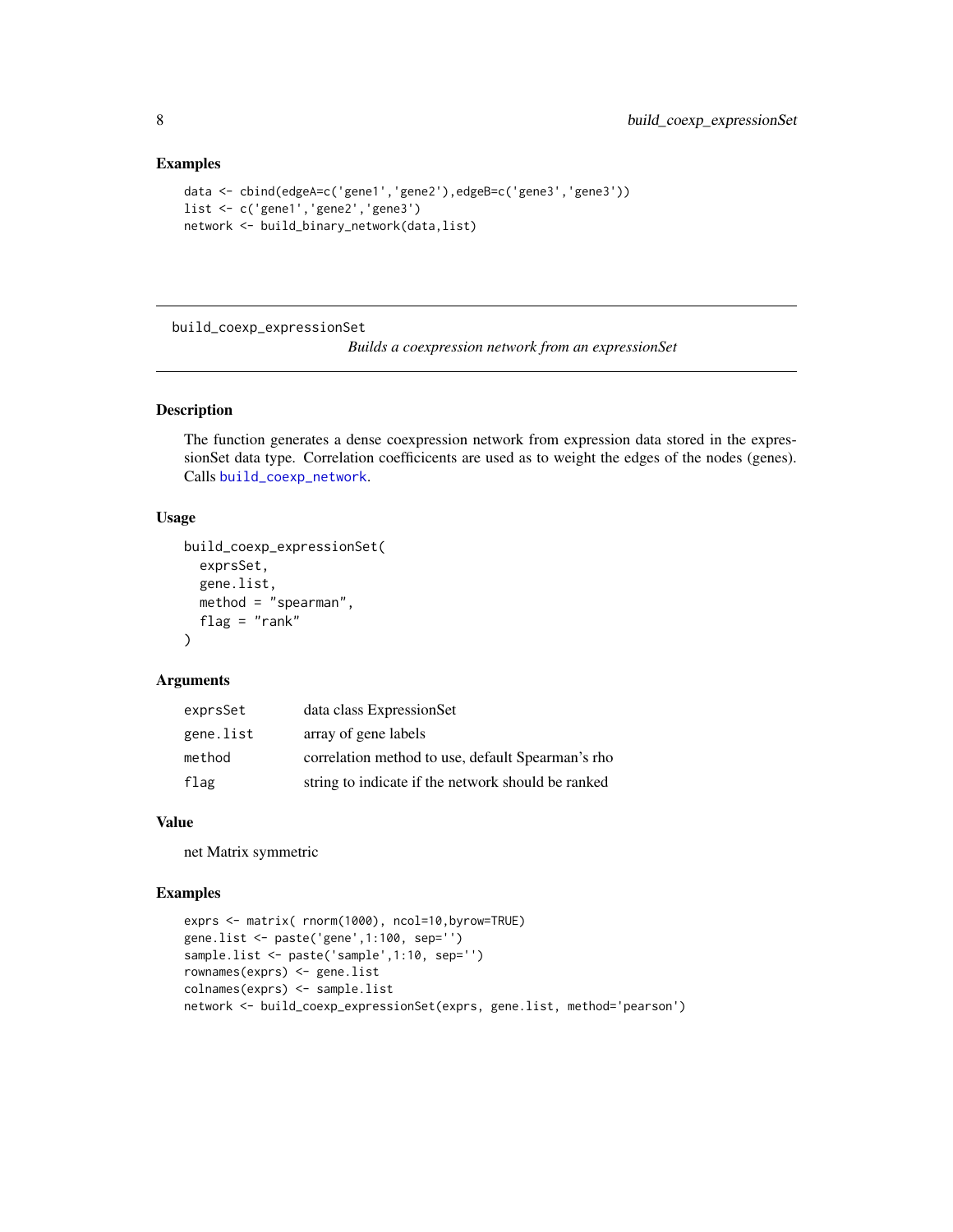#### Examples

```
data <- cbind(edgeA=c('gene1','gene2'),edgeB=c('gene3','gene3'))
list <- c('gene1','gene2','gene3')
network <- build_binary_network(data,list)
```
build\_coexp\_expressionSet

*Builds a coexpression network from an expressionSet*

#### Description

The function generates a dense coexpression network from expression data stored in the expressionSet data type. Correlation coefficicents are used as to weight the edges of the nodes (genes). Calls [build\\_coexp\\_network](#page-8-1).

#### Usage

```
build_coexp_expressionSet(
  exprsSet,
 gene.list,
 method = "spearman",
 flag = "rank")
```
#### Arguments

| exprsSet  | data class ExpressionSet                           |
|-----------|----------------------------------------------------|
| gene.list | array of gene labels                               |
| method    | correlation method to use, default Spearman's rho  |
| flag      | string to indicate if the network should be ranked |

#### Value

net Matrix symmetric

```
exprs <- matrix( rnorm(1000), ncol=10,byrow=TRUE)
gene.list <- paste('gene',1:100, sep='')
sample.list <- paste('sample',1:10, sep='')
rownames(exprs) <- gene.list
colnames(exprs) <- sample.list
network <- build_coexp_expressionSet(exprs, gene.list, method='pearson')
```
<span id="page-7-0"></span>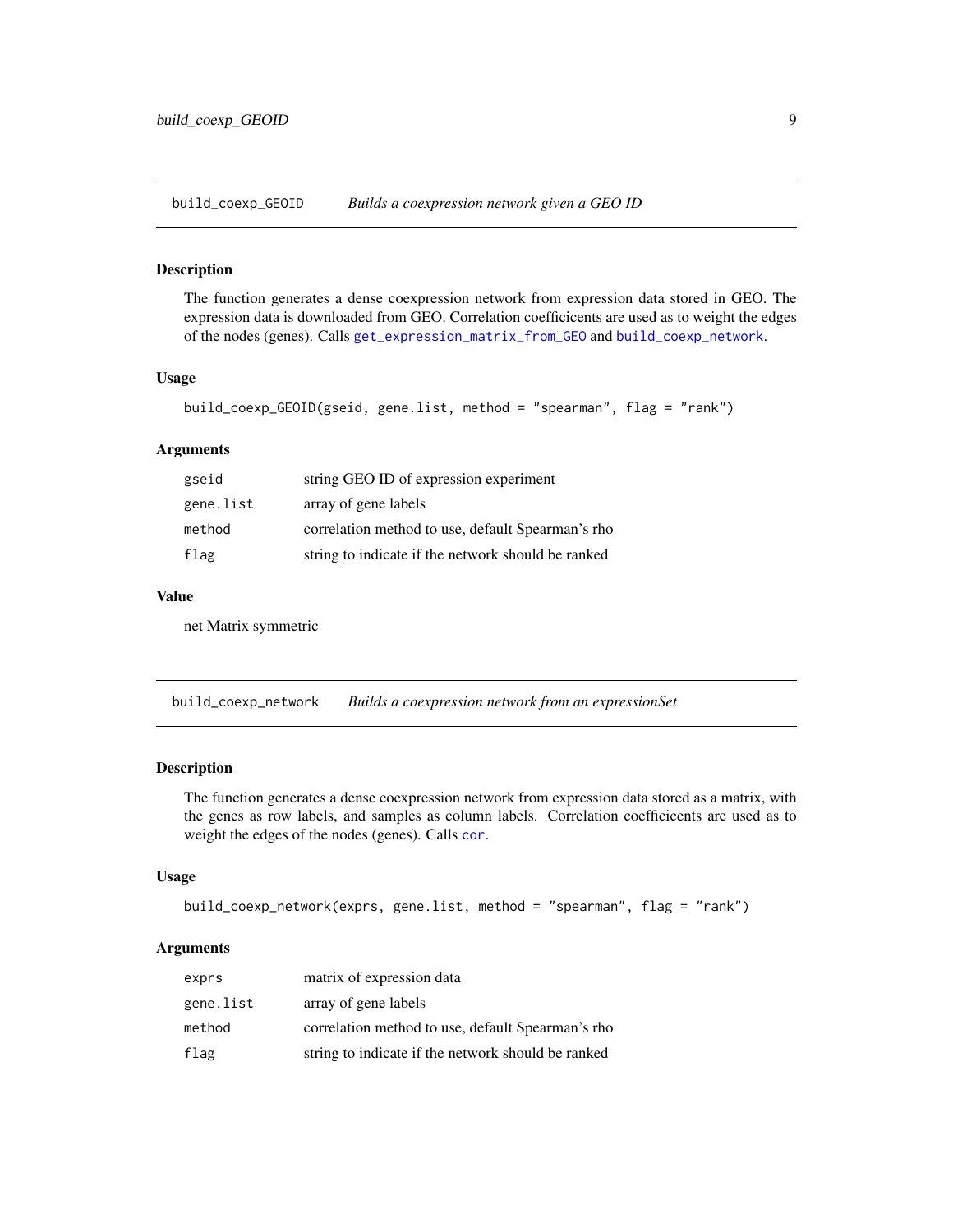<span id="page-8-0"></span>build\_coexp\_GEOID *Builds a coexpression network given a GEO ID*

#### Description

The function generates a dense coexpression network from expression data stored in GEO. The expression data is downloaded from GEO. Correlation coefficicents are used as to weight the edges of the nodes (genes). Calls [get\\_expression\\_matrix\\_from\\_GEO](#page-20-1) and [build\\_coexp\\_network](#page-8-1).

#### Usage

```
build_coexp_GEOID(gseid, gene.list, method = "spearman", flag = "rank")
```
#### Arguments

| gseid     | string GEO ID of expression experiment             |
|-----------|----------------------------------------------------|
| gene.list | array of gene labels                               |
| method    | correlation method to use, default Spearman's rho  |
| flag      | string to indicate if the network should be ranked |
|           |                                                    |

#### Value

net Matrix symmetric

<span id="page-8-1"></span>build\_coexp\_network *Builds a coexpression network from an expressionSet*

#### Description

The function generates a dense coexpression network from expression data stored as a matrix, with the genes as row labels, and samples as column labels. Correlation coefficicents are used as to weight the edges of the nodes (genes). Calls [cor](#page-0-0).

#### Usage

```
build_coexp_network(exprs, gene.list, method = "spearman", flag = "rank")
```

| exprs     | matrix of expression data                          |
|-----------|----------------------------------------------------|
| gene.list | array of gene labels                               |
| method    | correlation method to use, default Spearman's rho  |
| flag      | string to indicate if the network should be ranked |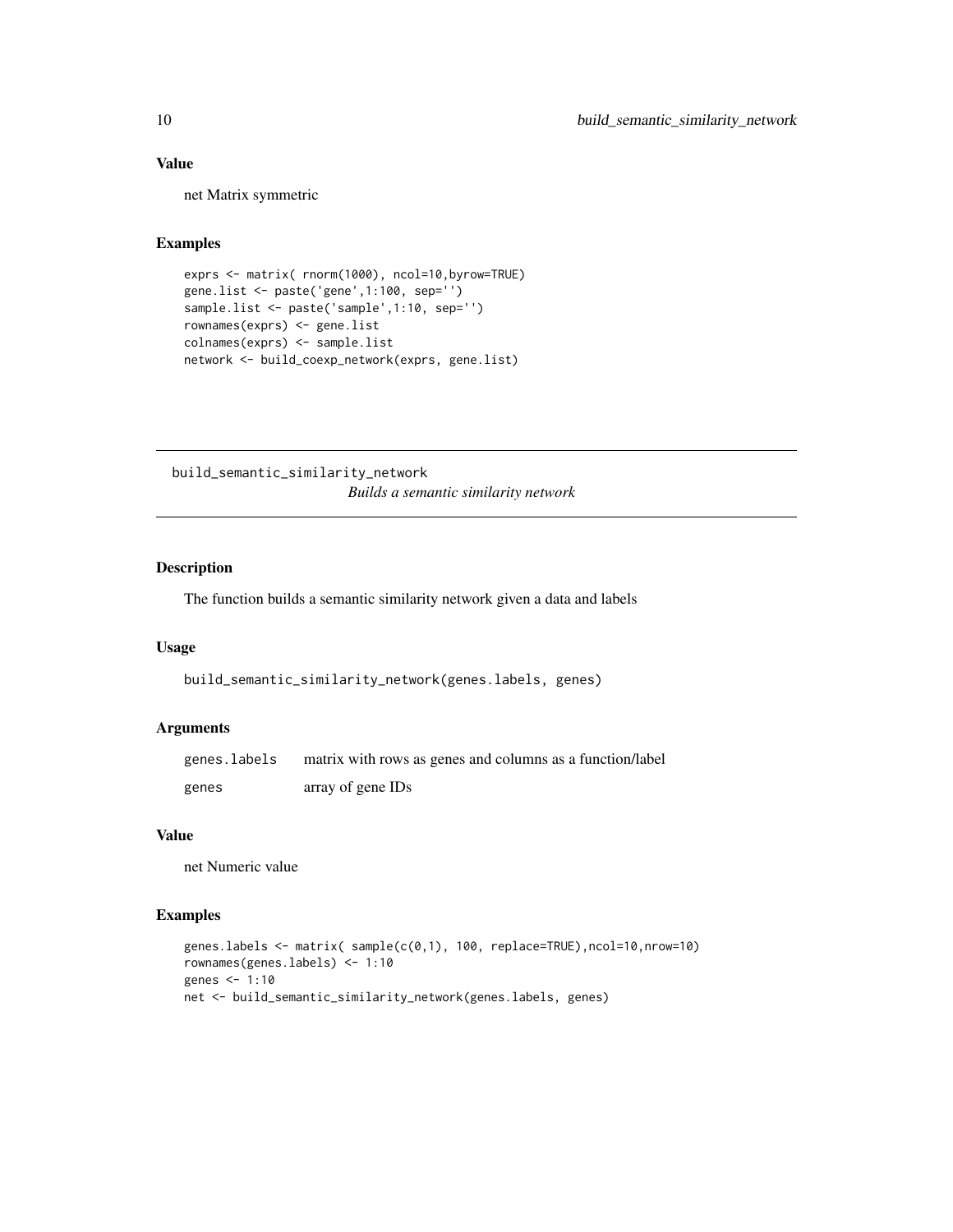#### Value

net Matrix symmetric

#### Examples

```
exprs <- matrix( rnorm(1000), ncol=10,byrow=TRUE)
gene.list <- paste('gene',1:100, sep='')
sample.list <- paste('sample',1:10, sep='')
rownames(exprs) <- gene.list
colnames(exprs) <- sample.list
network <- build_coexp_network(exprs, gene.list)
```
build\_semantic\_similarity\_network *Builds a semantic similarity network*

#### Description

The function builds a semantic similarity network given a data and labels

#### Usage

```
build_semantic_similarity_network(genes.labels, genes)
```
#### Arguments

| genes.labels | matrix with rows as genes and columns as a function/label |
|--------------|-----------------------------------------------------------|
| genes        | array of gene IDs                                         |

#### Value

net Numeric value

```
genes.labels <- matrix( sample(c(0,1), 100, replace=TRUE),ncol=10,nrow=10)
rownames(genes.labels) <- 1:10
genes <- 1:10
net <- build_semantic_similarity_network(genes.labels, genes)
```
<span id="page-9-0"></span>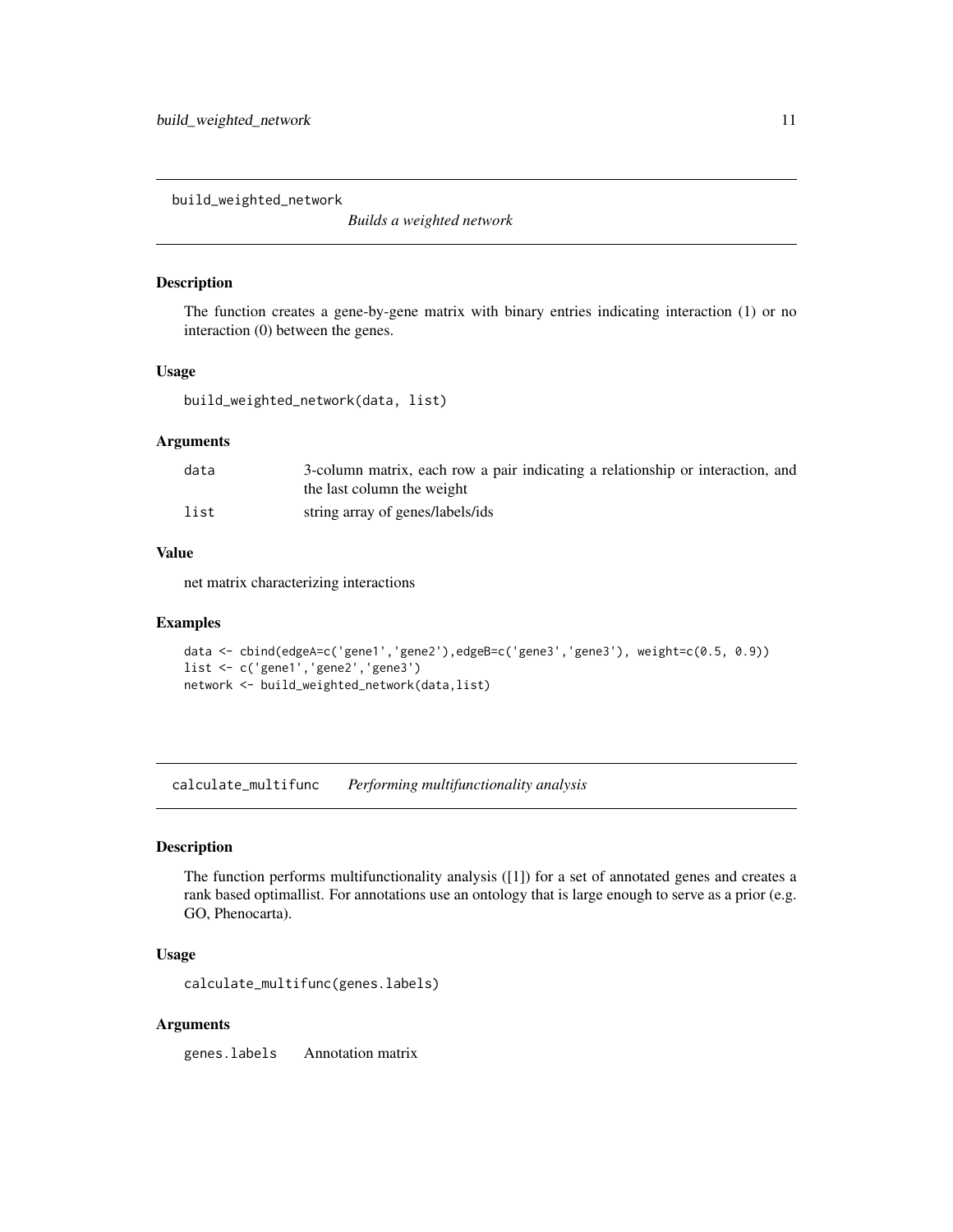<span id="page-10-0"></span>build\_weighted\_network

*Builds a weighted network*

#### Description

The function creates a gene-by-gene matrix with binary entries indicating interaction (1) or no interaction (0) between the genes.

#### Usage

build\_weighted\_network(data, list)

#### Arguments

| data | 3-column matrix, each row a pair indicating a relationship or interaction, and<br>the last column the weight |
|------|--------------------------------------------------------------------------------------------------------------|
| list | string array of genes/labels/ids                                                                             |

#### Value

net matrix characterizing interactions

#### Examples

```
data <- cbind(edgeA=c('gene1','gene2'),edgeB=c('gene3','gene3'), weight=c(0.5, 0.9))
list <- c('gene1','gene2','gene3')
network <- build_weighted_network(data,list)
```
<span id="page-10-1"></span>calculate\_multifunc *Performing multifunctionality analysis*

#### Description

The function performs multifunctionality analysis ([1]) for a set of annotated genes and creates a rank based optimallist. For annotations use an ontology that is large enough to serve as a prior (e.g. GO, Phenocarta).

#### Usage

calculate\_multifunc(genes.labels)

#### Arguments

genes.labels Annotation matrix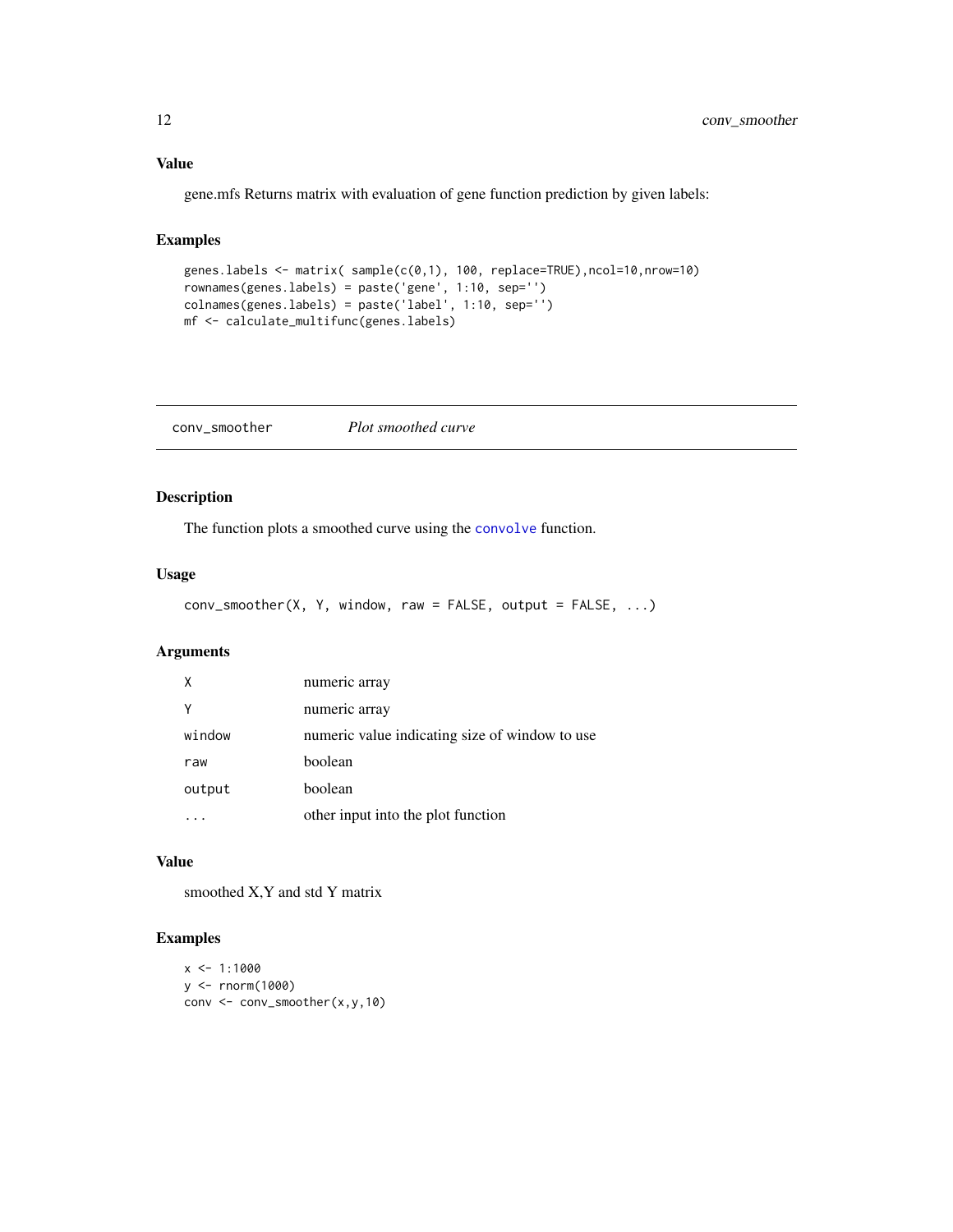#### <span id="page-11-0"></span>Value

gene.mfs Returns matrix with evaluation of gene function prediction by given labels:

### Examples

```
genes.labels <- matrix( sample(c(0,1), 100, replace=TRUE),ncol=10,nrow=10)
rownames(genes.labels) = paste('gene', 1:10, sep='')
colnames(genes.labels) = paste('label', 1:10, sep='')
mf <- calculate_multifunc(genes.labels)
```
conv\_smoother *Plot smoothed curve*

#### Description

The function plots a smoothed curve using the [convolve](#page-0-0) function.

#### Usage

```
conv_smoother(X, Y, window, raw = FALSE, output = FALSE, ...)
```
#### Arguments

| Χ      | numeric array                                  |
|--------|------------------------------------------------|
|        | numeric array                                  |
| window | numeric value indicating size of window to use |
| raw    | boolean                                        |
| output | boolean                                        |
|        | other input into the plot function             |

#### Value

smoothed X,Y and std Y matrix

```
x \le -1:1000y <- rnorm(1000)
conv <- conv_smoother(x,y,10)
```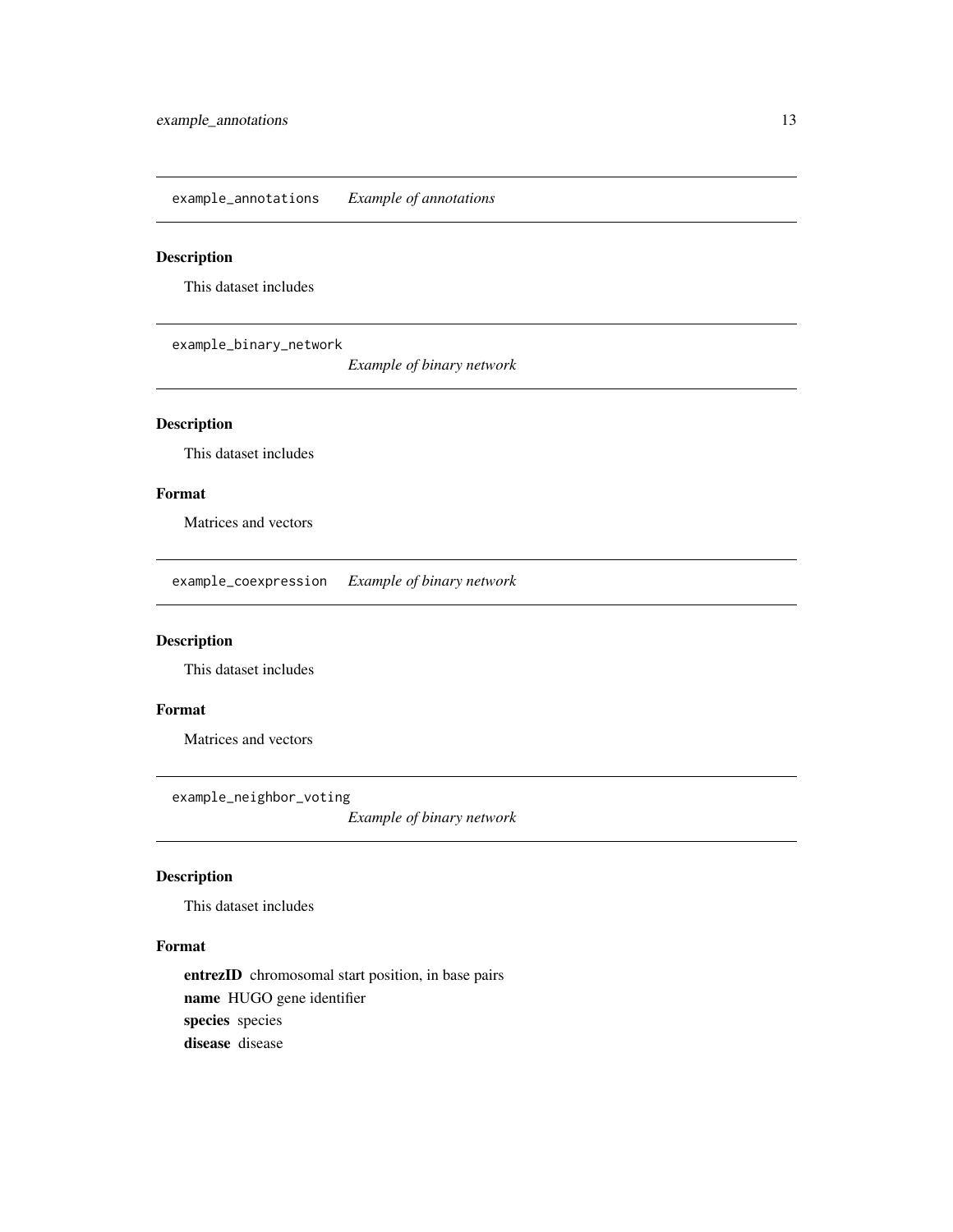<span id="page-12-0"></span>example\_annotations *Example of annotations*

#### Description

This dataset includes

example\_binary\_network

*Example of binary network*

#### Description

This dataset includes

#### Format

Matrices and vectors

example\_coexpression *Example of binary network*

### Description

This dataset includes

#### Format

Matrices and vectors

example\_neighbor\_voting

*Example of binary network*

#### Description

This dataset includes

#### Format

entrezID chromosomal start position, in base pairs name HUGO gene identifier species species disease disease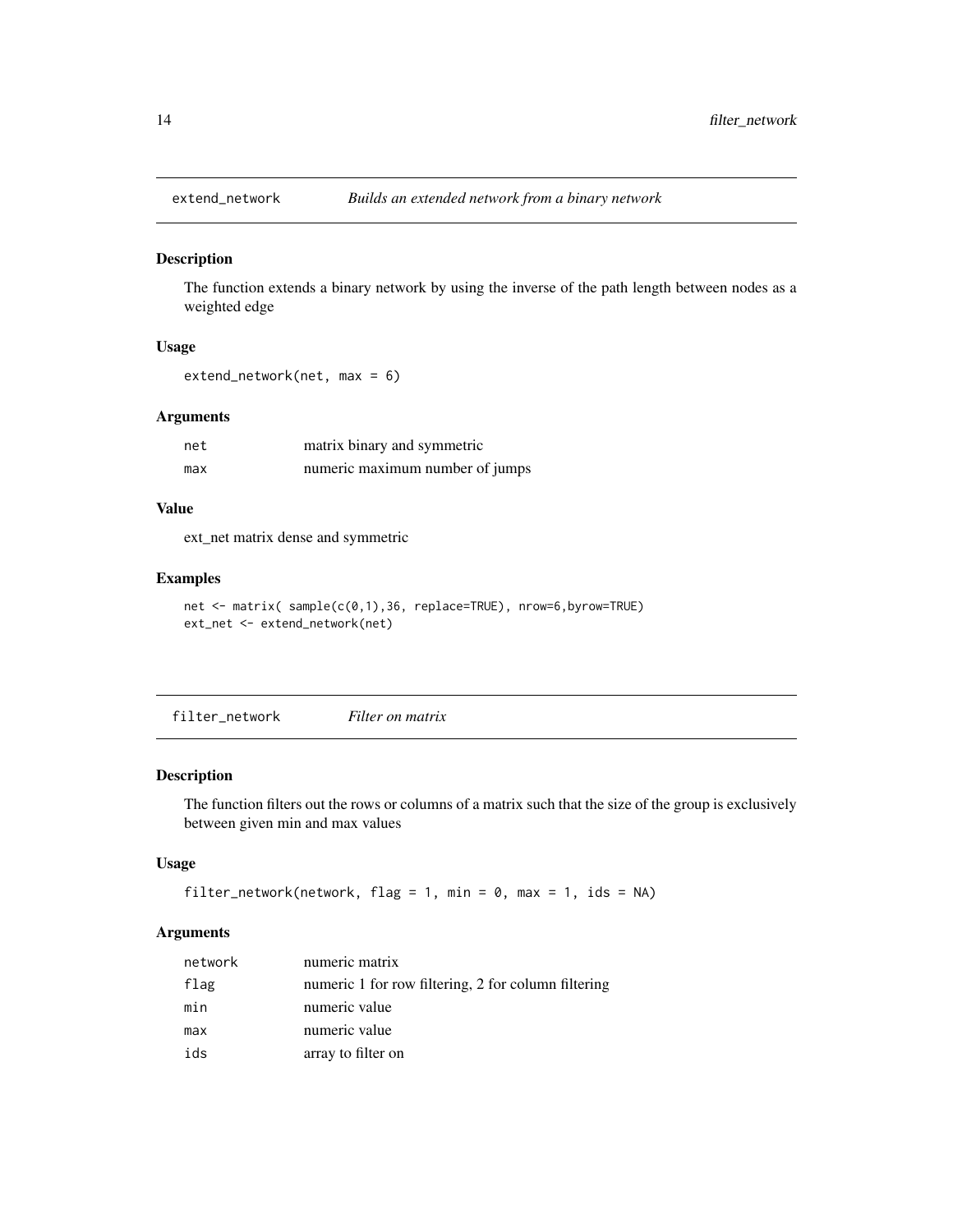<span id="page-13-0"></span>

The function extends a binary network by using the inverse of the path length between nodes as a weighted edge

#### Usage

extend\_network(net, max = 6)

#### Arguments

| net | matrix binary and symmetric     |
|-----|---------------------------------|
| max | numeric maximum number of jumps |

#### Value

ext\_net matrix dense and symmetric

#### Examples

```
net <- matrix( sample(c(0,1),36, replace=TRUE), nrow=6,byrow=TRUE)
ext_net <- extend_network(net)
```
filter\_network *Filter on matrix*

#### Description

The function filters out the rows or columns of a matrix such that the size of the group is exclusively between given min and max values

#### Usage

```
filter_network(network, flag = 1, min = 0, max = 1, ids = NA)
```

| network | numeric matrix                                      |
|---------|-----------------------------------------------------|
| flag    | numeric 1 for row filtering, 2 for column filtering |
| min     | numeric value                                       |
| max     | numeric value                                       |
| ids     | array to filter on                                  |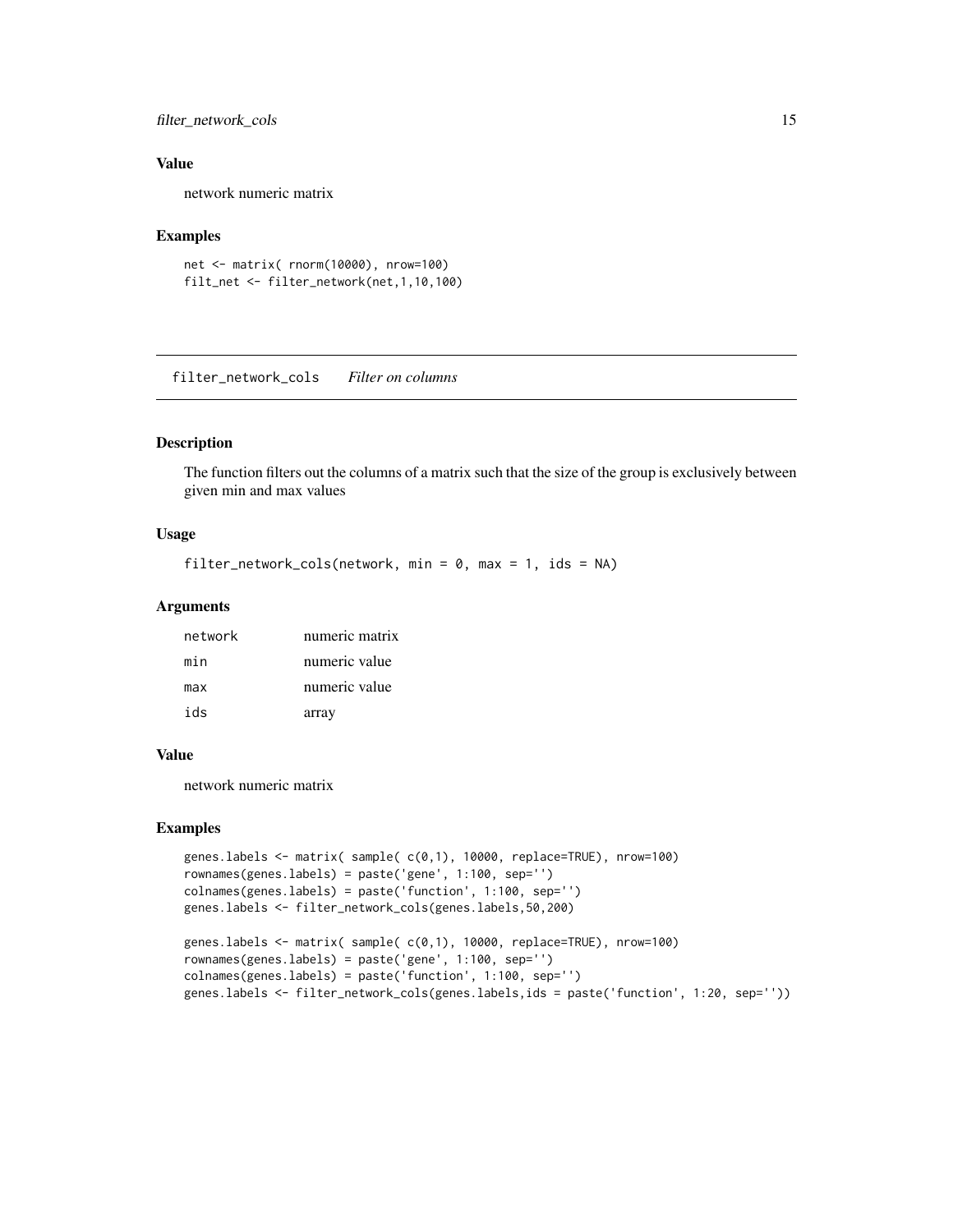#### <span id="page-14-0"></span>filter\_network\_cols 15

#### Value

network numeric matrix

#### Examples

```
net <- matrix( rnorm(10000), nrow=100)
filt_net <- filter_network(net,1,10,100)
```
filter\_network\_cols *Filter on columns*

#### Description

The function filters out the columns of a matrix such that the size of the group is exclusively between given min and max values

#### Usage

```
filter_network_cols(network, min = 0, max = 1, ids = NA)
```
#### Arguments

| network | numeric matrix |
|---------|----------------|
| min     | numeric value  |
| max     | numeric value  |
| ids     | array          |

#### Value

network numeric matrix

```
genes.labels <- matrix( sample( c(0,1), 10000, replace=TRUE), nrow=100)
rownames(genes.labels) = paste('gene', 1:100, sep='')
colnames(genes.labels) = paste('function', 1:100, sep='')
genes.labels <- filter_network_cols(genes.labels,50,200)
```

```
genes.labels <- matrix( sample( c(0,1), 10000, replace=TRUE), nrow=100)
rownames(genes.labels) = paste('gene', 1:100, sep='')
colnames(genes.labels) = paste('function', 1:100, sep='')
genes.labels <- filter_network_cols(genes.labels,ids = paste('function', 1:20, sep=''))
```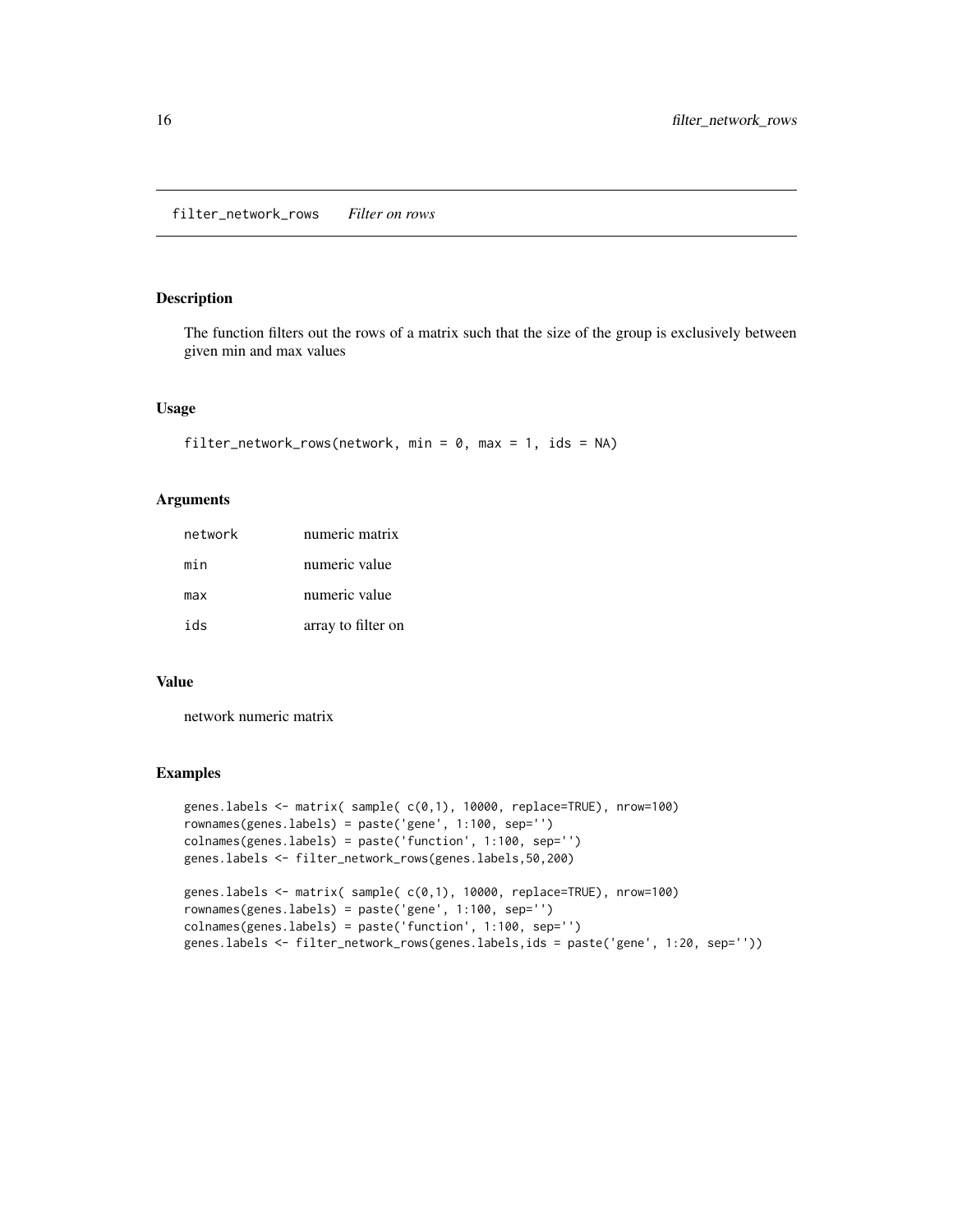<span id="page-15-0"></span>The function filters out the rows of a matrix such that the size of the group is exclusively between given min and max values

#### Usage

```
filter_network_rows(network, min = 0, max = 1, ids = NA)
```
#### Arguments

| network | numeric matrix     |
|---------|--------------------|
| min     | numeric value      |
| max     | numeric value      |
| ids     | array to filter on |

#### Value

network numeric matrix

```
genes.labels <- matrix( sample( c(0,1), 10000, replace=TRUE), nrow=100)
rownames(genes.labels) = paste('gene', 1:100, sep='')
colnames(genes.labels) = paste('function', 1:100, sep='')
genes.labels <- filter_network_rows(genes.labels,50,200)
genes.labels <- matrix( sample( c(0,1), 10000, replace=TRUE), nrow=100)
rownames(genes.labels) = paste('gene', 1:100, sep='')
colnames(genes.labels) = paste('function', 1:100, sep='')
genes.labels <- filter_network_rows(genes.labels,ids = paste('gene', 1:20, sep=''))
```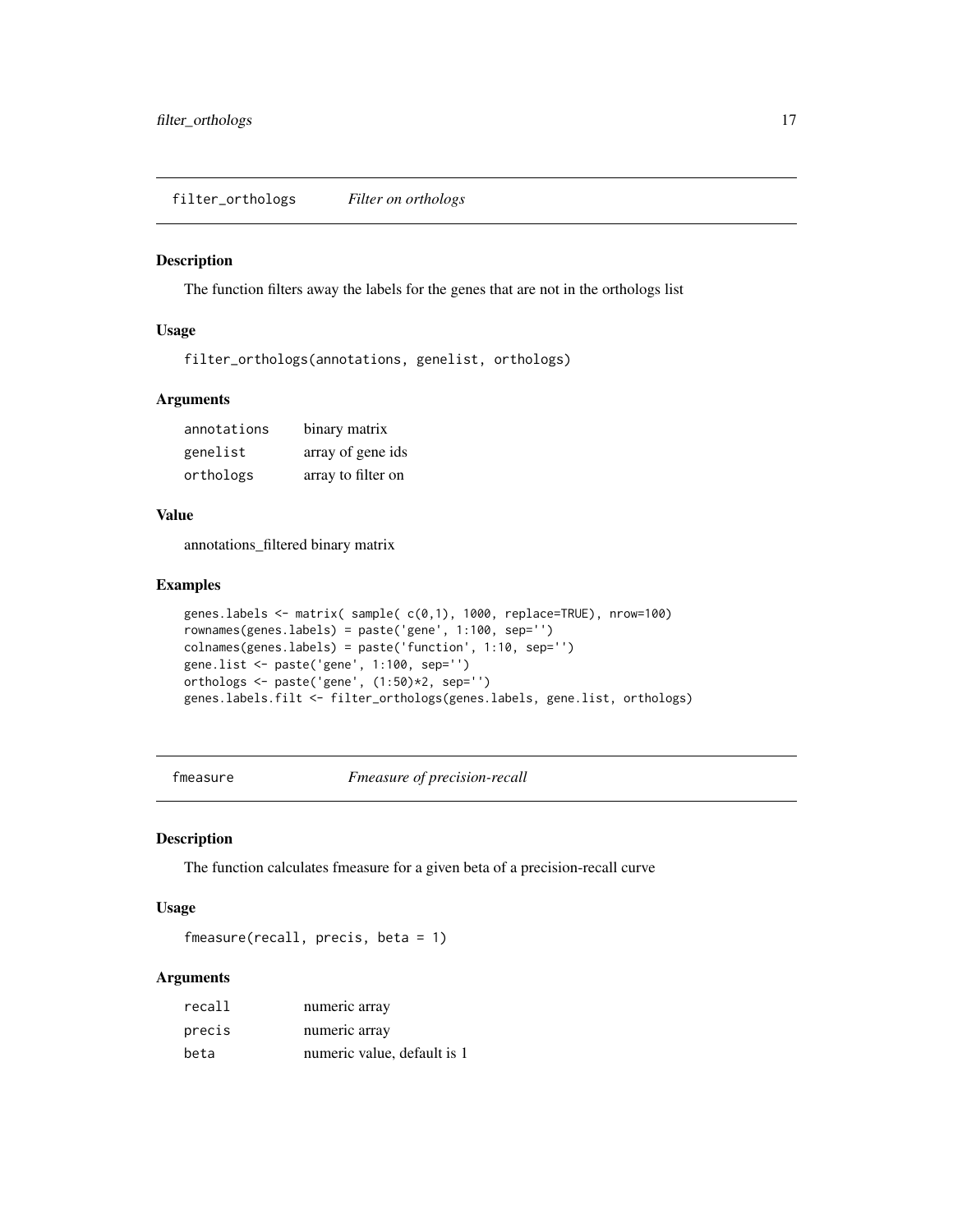<span id="page-16-0"></span>filter\_orthologs *Filter on orthologs*

#### Description

The function filters away the labels for the genes that are not in the orthologs list

#### Usage

filter\_orthologs(annotations, genelist, orthologs)

#### Arguments

| annotations | binary matrix      |
|-------------|--------------------|
| genelist    | array of gene ids  |
| orthologs   | array to filter on |

#### Value

annotations\_filtered binary matrix

#### Examples

```
genes.labels <- matrix( sample( c(0,1), 1000, replace=TRUE), nrow=100)
rownames(genes.labels) = paste('gene', 1:100, sep='')
colnames(genes.labels) = paste('function', 1:10, sep='')
gene.list <- paste('gene', 1:100, sep='')
orthologs <- paste('gene', (1:50)*2, sep='')
genes.labels.filt <- filter_orthologs(genes.labels, gene.list, orthologs)
```
fmeasure *Fmeasure of precision-recall*

#### Description

The function calculates fmeasure for a given beta of a precision-recall curve

#### Usage

fmeasure(recall, precis, beta = 1)

| recall | numeric array               |
|--------|-----------------------------|
| precis | numeric array               |
| beta   | numeric value, default is 1 |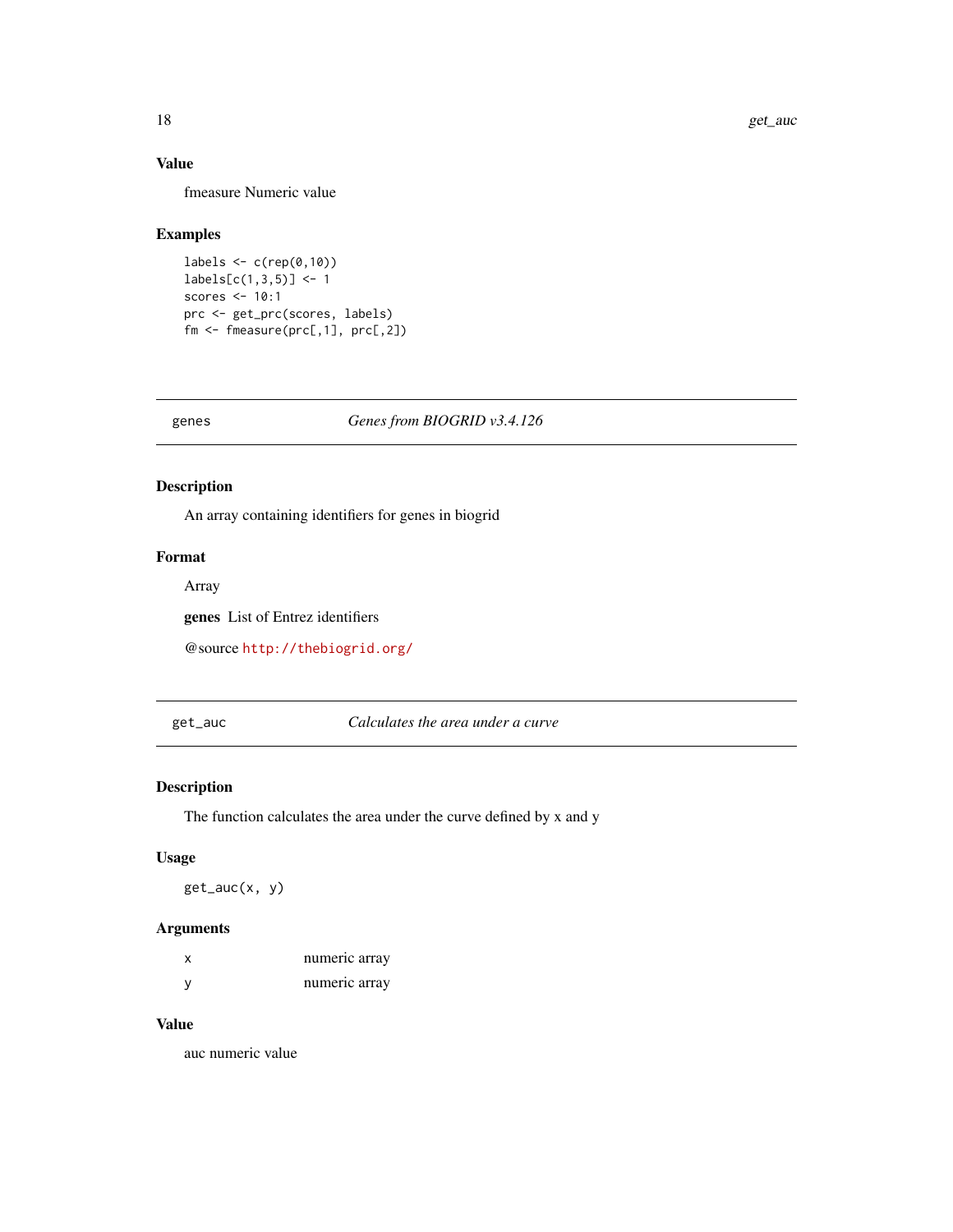#### Value

fmeasure Numeric value

#### Examples

```
labels \leq c (rep(0,10))
labels[c(1,3,5)] < -1scores <- 10:1
prc <- get_prc(scores, labels)
fm <- fmeasure(prc[,1], prc[,2])
```
genes *Genes from BIOGRID v3.4.126*

#### Description

An array containing identifiers for genes in biogrid

### Format

Array

genes List of Entrez identifiers

@source <http://thebiogrid.org/>

get\_auc *Calculates the area under a curve*

#### Description

The function calculates the area under the curve defined by x and y

#### Usage

get\_auc(x, y)

#### Arguments

| numeric array |
|---------------|
| numeric array |

#### Value

auc numeric value

<span id="page-17-0"></span>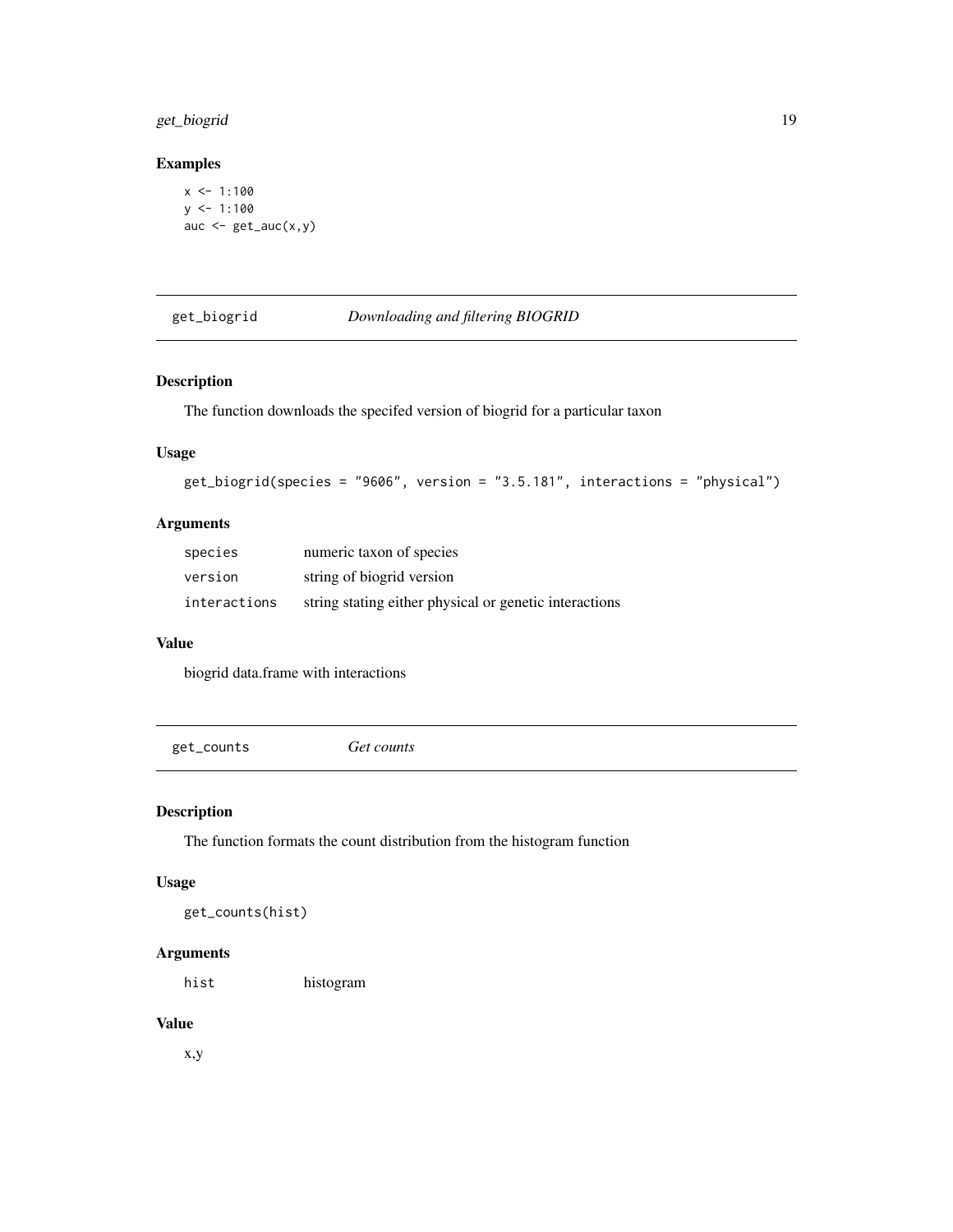### <span id="page-18-0"></span>get\_biogrid 19

#### Examples

```
x < -1:100y \le -1:100auc \leq get_auc(x,y)
```
#### get\_biogrid *Downloading and filtering BIOGRID*

#### Description

The function downloads the specifed version of biogrid for a particular taxon

#### Usage

```
get_biogrid(species = "9606", version = "3.5.181", interactions = "physical")
```
#### Arguments

| species      | numeric taxon of species                               |
|--------------|--------------------------------------------------------|
| version      | string of biogrid version                              |
| interactions | string stating either physical or genetic interactions |

#### Value

biogrid data.frame with interactions

get\_counts *Get counts*

#### Description

The function formats the count distribution from the histogram function

#### Usage

get\_counts(hist)

#### Arguments

hist histogram

#### Value

x,y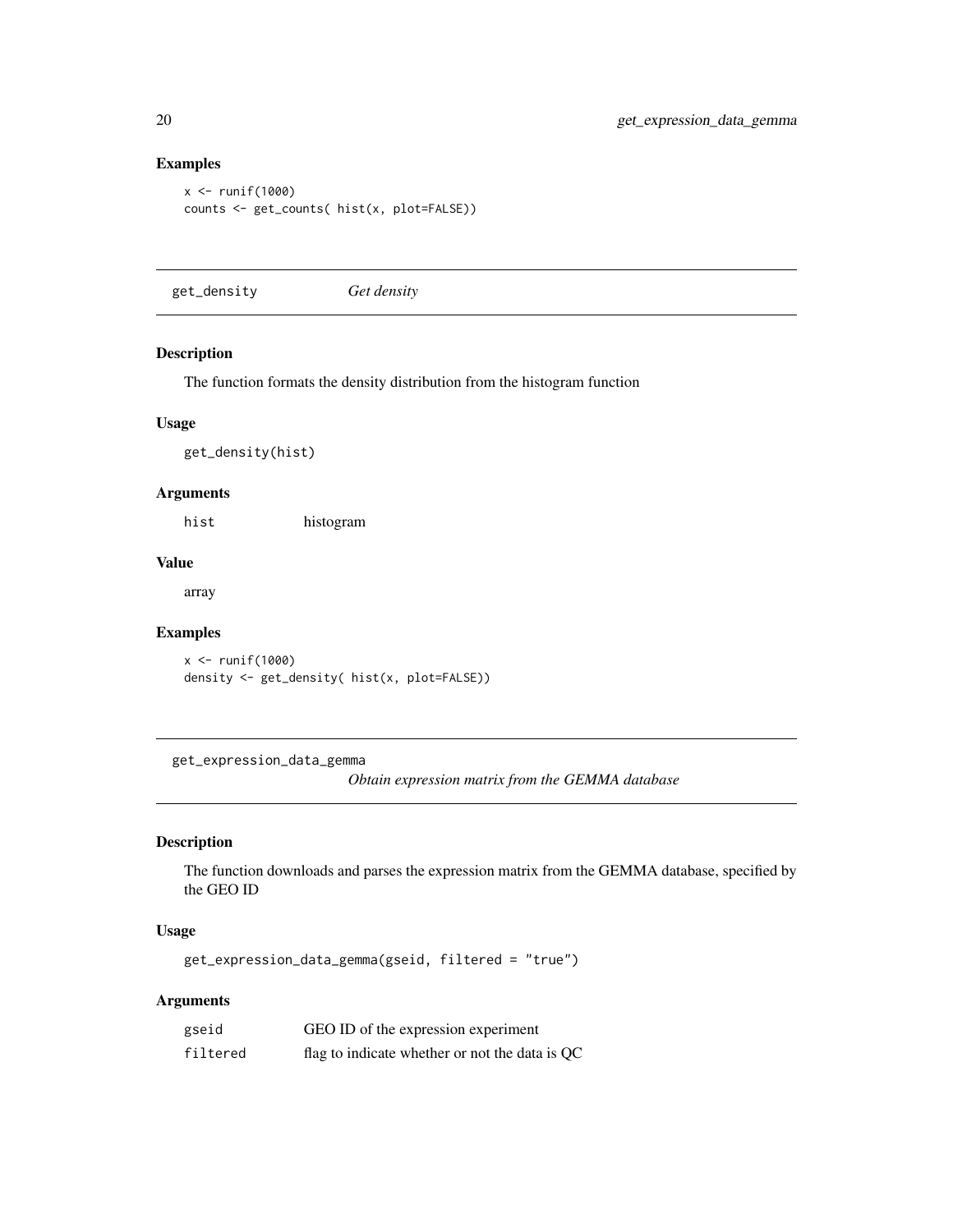#### Examples

```
x <- runif(1000)
counts <- get_counts( hist(x, plot=FALSE))
```
get\_density *Get density*

#### Description

The function formats the density distribution from the histogram function

#### Usage

get\_density(hist)

#### Arguments

hist histogram

#### Value

array

#### Examples

```
x <- runif(1000)
density <- get_density( hist(x, plot=FALSE))
```
get\_expression\_data\_gemma

*Obtain expression matrix from the GEMMA database*

#### Description

The function downloads and parses the expression matrix from the GEMMA database, specified by the GEO ID

#### Usage

get\_expression\_data\_gemma(gseid, filtered = "true")

| gseid    | GEO ID of the expression experiment            |
|----------|------------------------------------------------|
| filtered | flag to indicate whether or not the data is QC |

<span id="page-19-0"></span>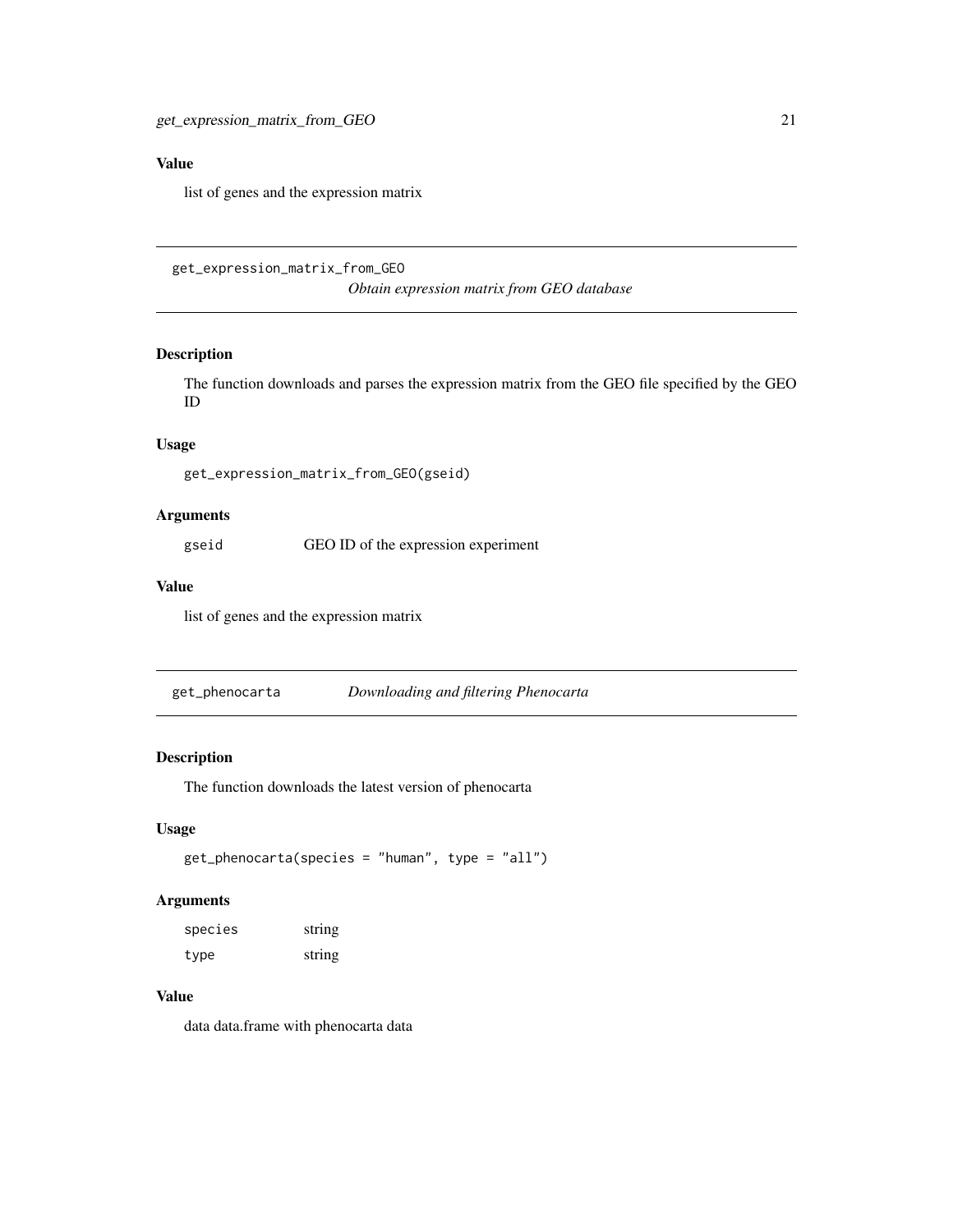#### <span id="page-20-0"></span>Value

list of genes and the expression matrix

<span id="page-20-1"></span>get\_expression\_matrix\_from\_GEO

*Obtain expression matrix from GEO database*

#### Description

The function downloads and parses the expression matrix from the GEO file specified by the GEO ID

#### Usage

get\_expression\_matrix\_from\_GEO(gseid)

#### Arguments

gseid GEO ID of the expression experiment

#### Value

list of genes and the expression matrix

get\_phenocarta *Downloading and filtering Phenocarta*

#### Description

The function downloads the latest version of phenocarta

#### Usage

```
get_phenocarta(species = "human", type = "all")
```
#### Arguments

| species | string |
|---------|--------|
| type    | string |

#### Value

data data.frame with phenocarta data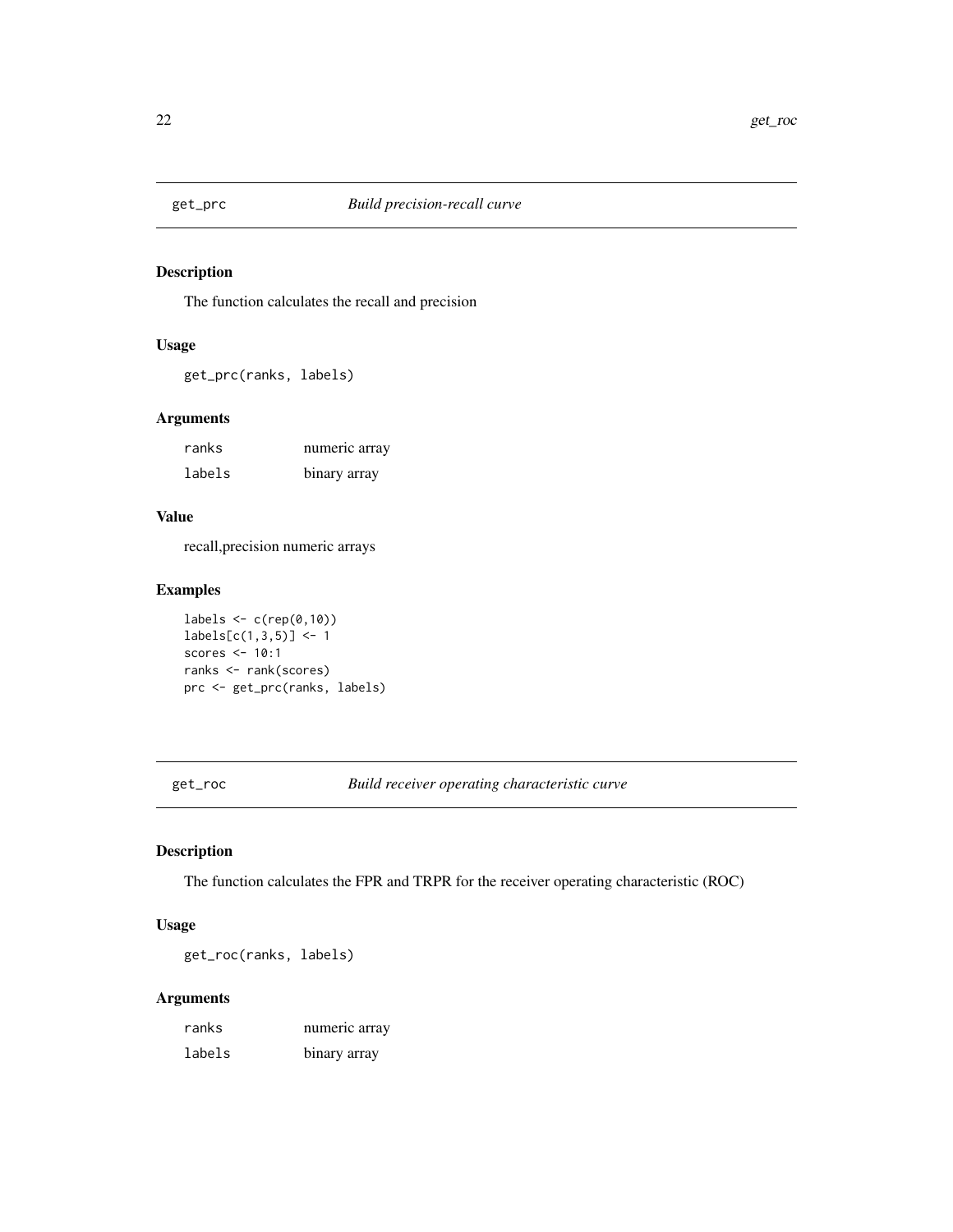<span id="page-21-0"></span>

The function calculates the recall and precision

#### Usage

get\_prc(ranks, labels)

#### Arguments

| ranks  | numeric array |
|--------|---------------|
| labels | binary array  |

#### Value

recall,precision numeric arrays

### Examples

labels  $\leq$  c(rep(0,10))  $labels[c(1,3,5)] < -1$ scores <- 10:1 ranks <- rank(scores) prc <- get\_prc(ranks, labels)

get\_roc *Build receiver operating characteristic curve*

#### Description

The function calculates the FPR and TRPR for the receiver operating characteristic (ROC)

#### Usage

get\_roc(ranks, labels)

| ranks  | numeric array |
|--------|---------------|
| labels | binary array  |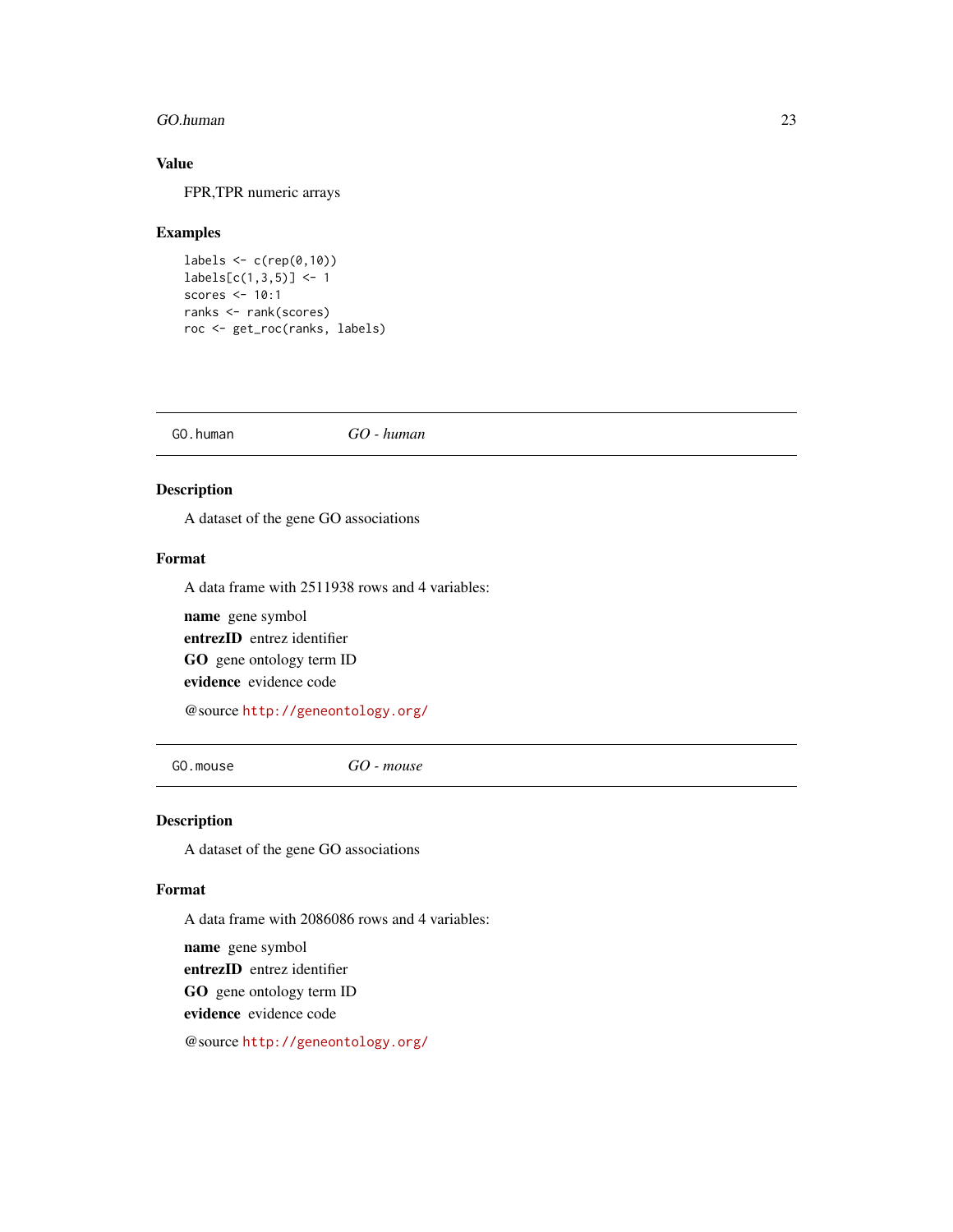#### <span id="page-22-0"></span>GO.human 23

#### Value

FPR,TPR numeric arrays

#### Examples

```
labels \leftarrow c(rep(\emptyset,1\emptyset))labels[c(1,3,5)] < -1scores <- 10:1
ranks <- rank(scores)
roc <- get_roc(ranks, labels)
```
GO.human *GO - human*

#### Description

A dataset of the gene GO associations

#### Format

A data frame with 2511938 rows and 4 variables:

name gene symbol entrezID entrez identifier GO gene ontology term ID evidence evidence code

@source <http://geneontology.org/>

GO.mouse *GO - mouse*

#### Description

A dataset of the gene GO associations

#### Format

A data frame with 2086086 rows and 4 variables:

name gene symbol entrezID entrez identifier GO gene ontology term ID evidence evidence code

@source <http://geneontology.org/>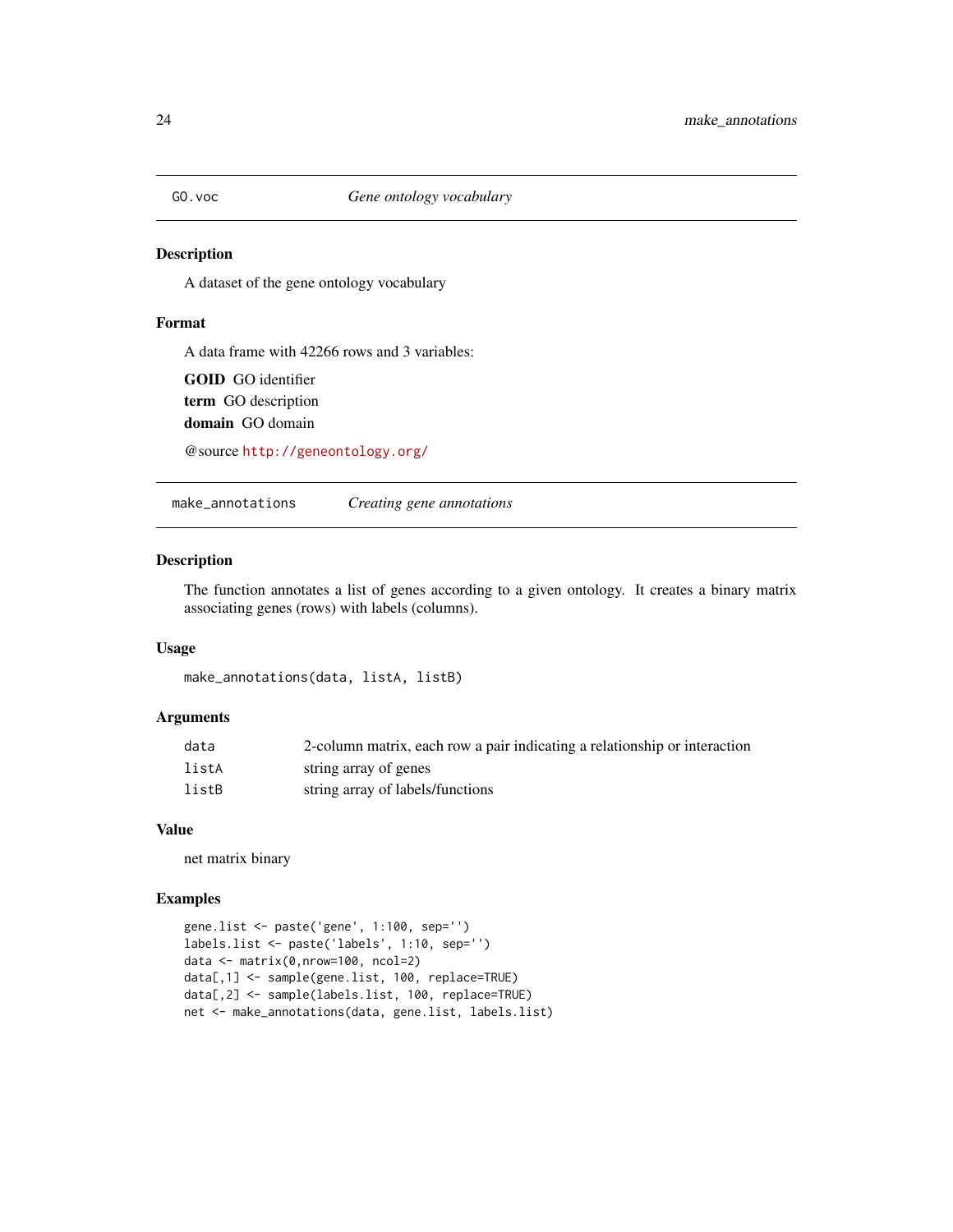<span id="page-23-0"></span>

A dataset of the gene ontology vocabulary

#### Format

A data frame with 42266 rows and 3 variables:

GOID GO identifier term GO description domain GO domain

@source <http://geneontology.org/>

make\_annotations *Creating gene annotations*

#### Description

The function annotates a list of genes according to a given ontology. It creates a binary matrix associating genes (rows) with labels (columns).

#### Usage

make\_annotations(data, listA, listB)

#### Arguments

| data  | 2-column matrix, each row a pair indicating a relationship or interaction |
|-------|---------------------------------------------------------------------------|
| listA | string array of genes                                                     |
| listB | string array of labels/functions                                          |

#### Value

net matrix binary

```
gene.list <- paste('gene', 1:100, sep='')
labels.list <- paste('labels', 1:10, sep='')
data <- matrix(0,nrow=100, ncol=2)
data[,1] <- sample(gene.list, 100, replace=TRUE)
data[,2] <- sample(labels.list, 100, replace=TRUE)
net <- make_annotations(data, gene.list, labels.list)
```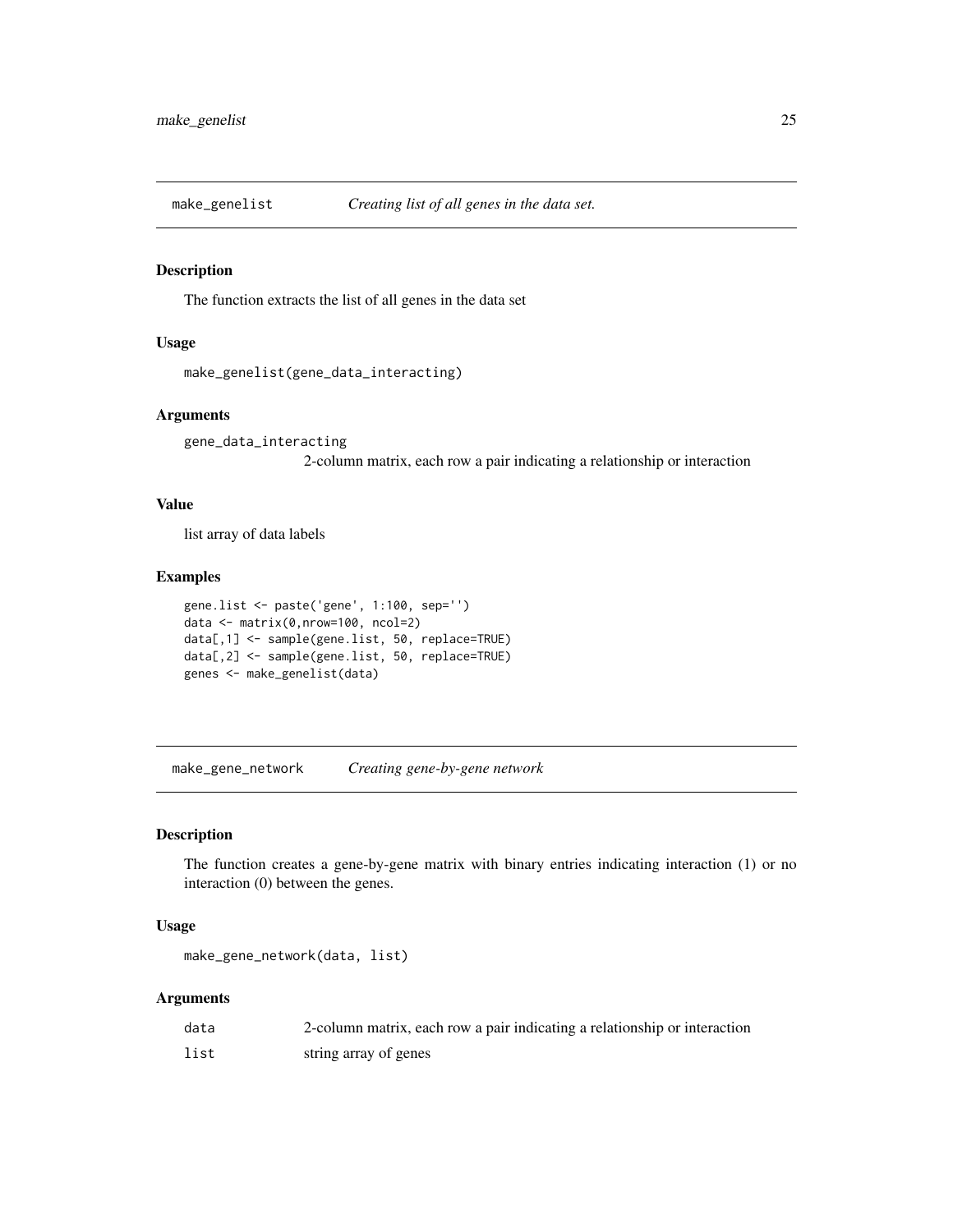<span id="page-24-0"></span>

The function extracts the list of all genes in the data set

#### Usage

```
make_genelist(gene_data_interacting)
```
#### Arguments

gene\_data\_interacting 2-column matrix, each row a pair indicating a relationship or interaction

#### Value

list array of data labels

#### Examples

```
gene.list <- paste('gene', 1:100, sep='')
data <- matrix(0,nrow=100, ncol=2)
data[,1] <- sample(gene.list, 50, replace=TRUE)
data[,2] <- sample(gene.list, 50, replace=TRUE)
genes <- make_genelist(data)
```
make\_gene\_network *Creating gene-by-gene network*

#### Description

The function creates a gene-by-gene matrix with binary entries indicating interaction (1) or no interaction (0) between the genes.

#### Usage

```
make_gene_network(data, list)
```

| data | 2-column matrix, each row a pair indicating a relationship or interaction |
|------|---------------------------------------------------------------------------|
| list | string array of genes                                                     |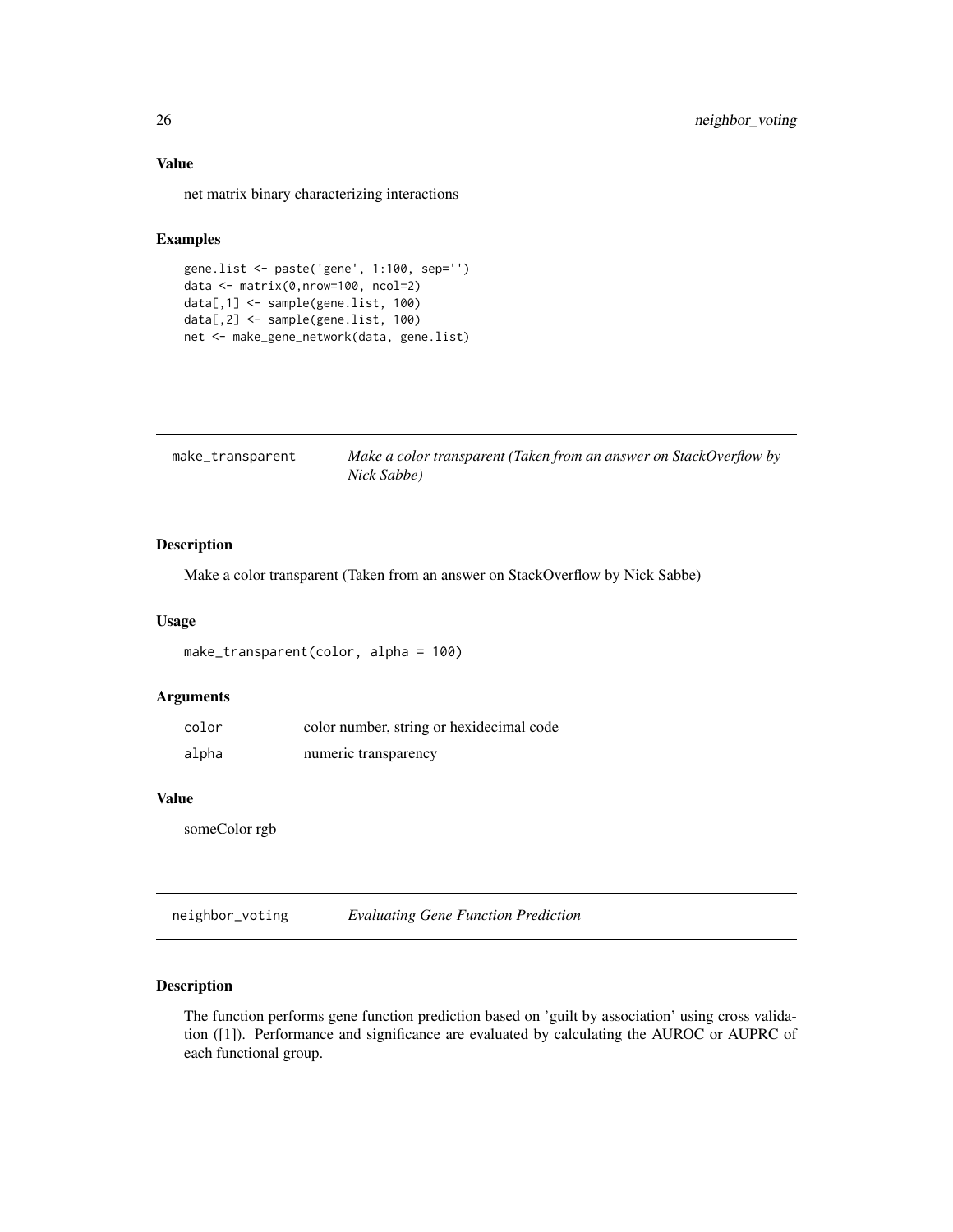#### <span id="page-25-0"></span>Value

net matrix binary characterizing interactions

#### Examples

```
gene.list <- paste('gene', 1:100, sep='')
data <- matrix(0,nrow=100, ncol=2)
data[,1] <- sample(gene.list, 100)
data[,2] <- sample(gene.list, 100)
net <- make_gene_network(data, gene.list)
```

| make_transparent | Make a color transparent (Taken from an answer on StackOverflow by |
|------------------|--------------------------------------------------------------------|
|                  | Nick Sabbe)                                                        |

#### Description

Make a color transparent (Taken from an answer on StackOverflow by Nick Sabbe)

#### Usage

```
make_transparent(color, alpha = 100)
```
#### Arguments

| color | color number, string or hexidecimal code |
|-------|------------------------------------------|
| alpha | numeric transparency                     |

#### Value

someColor rgb

<span id="page-25-1"></span>neighbor\_voting *Evaluating Gene Function Prediction*

#### Description

The function performs gene function prediction based on 'guilt by association' using cross validation ([1]). Performance and significance are evaluated by calculating the AUROC or AUPRC of each functional group.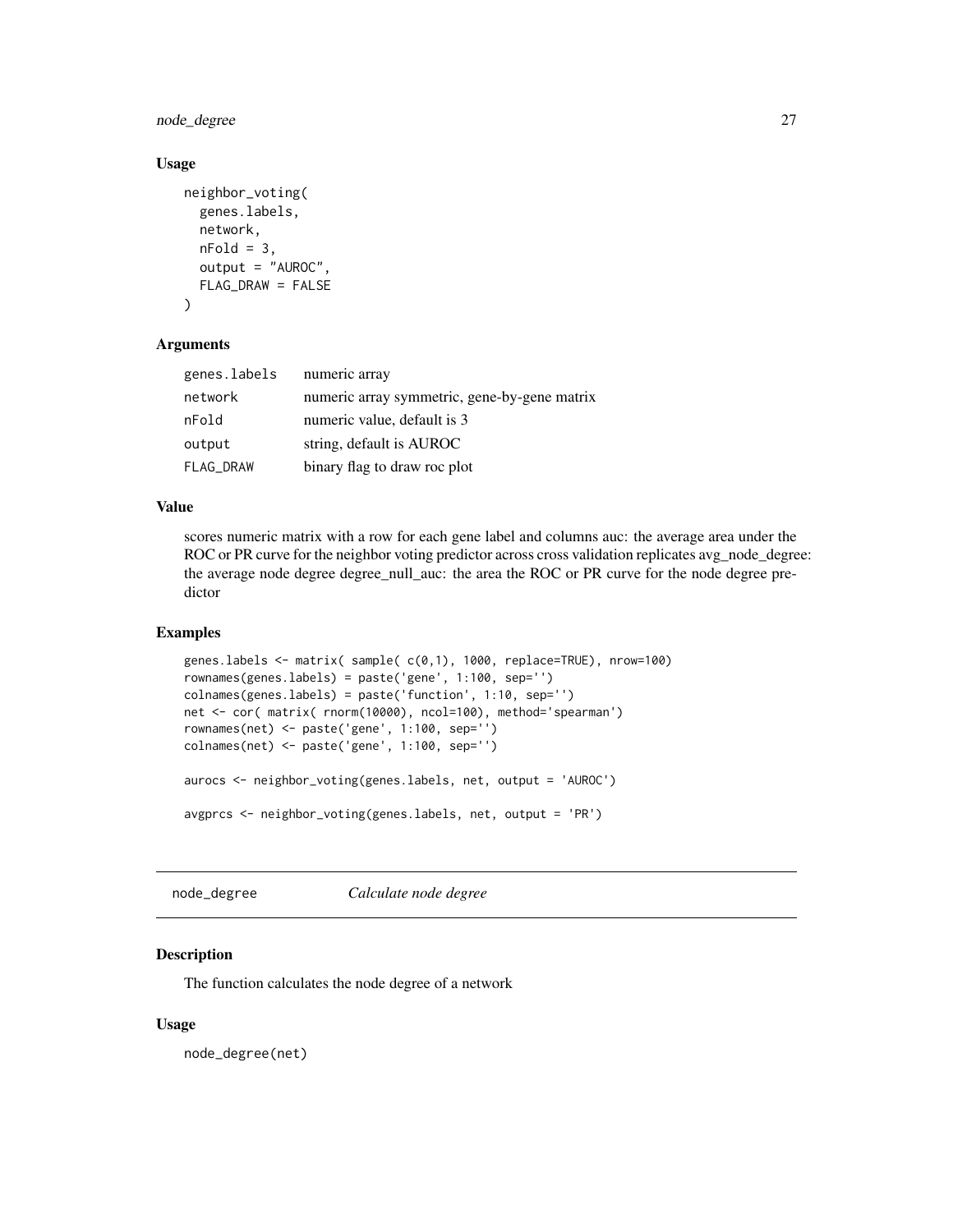<span id="page-26-0"></span>node\_degree 27

#### Usage

```
neighbor_voting(
  genes.labels,
  network,
  nFold = 3,
  output = "AUROC",
  FLAG_DRAW = FALSE
)
```
#### Arguments

| genes.labels | numeric array                                |
|--------------|----------------------------------------------|
| network      | numeric array symmetric, gene-by-gene matrix |
| nFold        | numeric value, default is 3                  |
| output       | string, default is AUROC                     |
| FLAG_DRAW    | binary flag to draw roc plot                 |

#### Value

scores numeric matrix with a row for each gene label and columns auc: the average area under the ROC or PR curve for the neighbor voting predictor across cross validation replicates avg\_node\_degree: the average node degree degree\_null\_auc: the area the ROC or PR curve for the node degree predictor

#### Examples

```
genes.labels <- matrix( sample( c(0,1), 1000, replace=TRUE), nrow=100)
rownames(genes.labels) = paste('gene', 1:100, sep='')
colnames(genes.labels) = paste('function', 1:10, sep='')
net <- cor( matrix( rnorm(10000), ncol=100), method='spearman')
rownames(net) <- paste('gene', 1:100, sep='')
colnames(net) <- paste('gene', 1:100, sep='')
aurocs <- neighbor_voting(genes.labels, net, output = 'AUROC')
avgprcs <- neighbor_voting(genes.labels, net, output = 'PR')
```

```
node_degree Calculate node degree
```
#### Description

The function calculates the node degree of a network

#### Usage

node\_degree(net)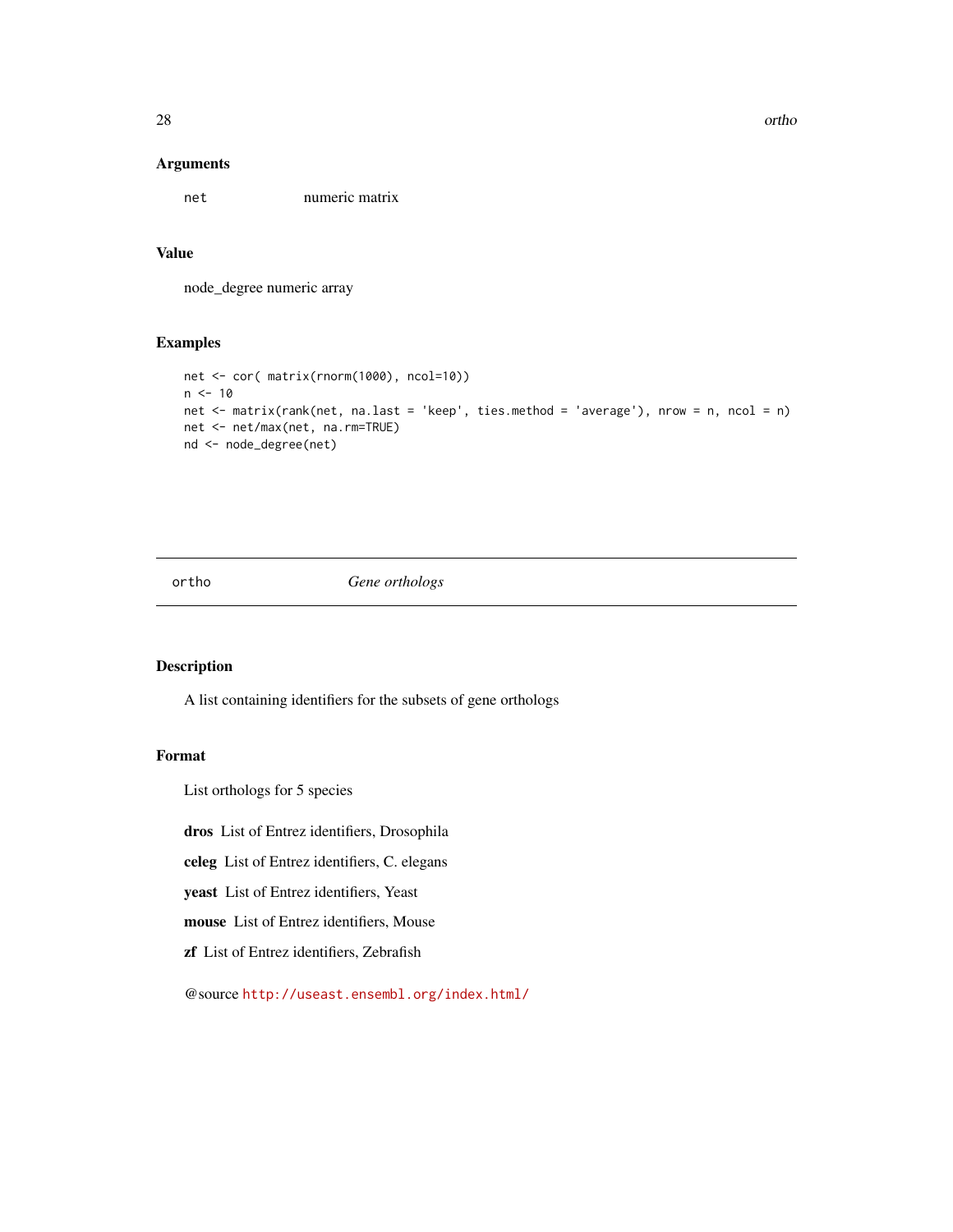<span id="page-27-0"></span>28 orthogonal control of the control of the control of the control of the control of the control of the control of the control of the control of the control of the control of the control of the control of the control of th

#### Arguments

net numeric matrix

#### Value

node\_degree numeric array

#### Examples

```
net <- cor( matrix(rnorm(1000), ncol=10))
n < -10net <- matrix(rank(net, na.last = 'keep', ties.method = 'average'), nrow = n, ncol = n)
net <- net/max(net, na.rm=TRUE)
nd <- node_degree(net)
```
ortho *Gene orthologs*

### Description

A list containing identifiers for the subsets of gene orthologs

#### Format

List orthologs for 5 species

dros List of Entrez identifiers, Drosophila

celeg List of Entrez identifiers, C. elegans

yeast List of Entrez identifiers, Yeast

mouse List of Entrez identifiers, Mouse

zf List of Entrez identifiers, Zebrafish

@source <http://useast.ensembl.org/index.html/>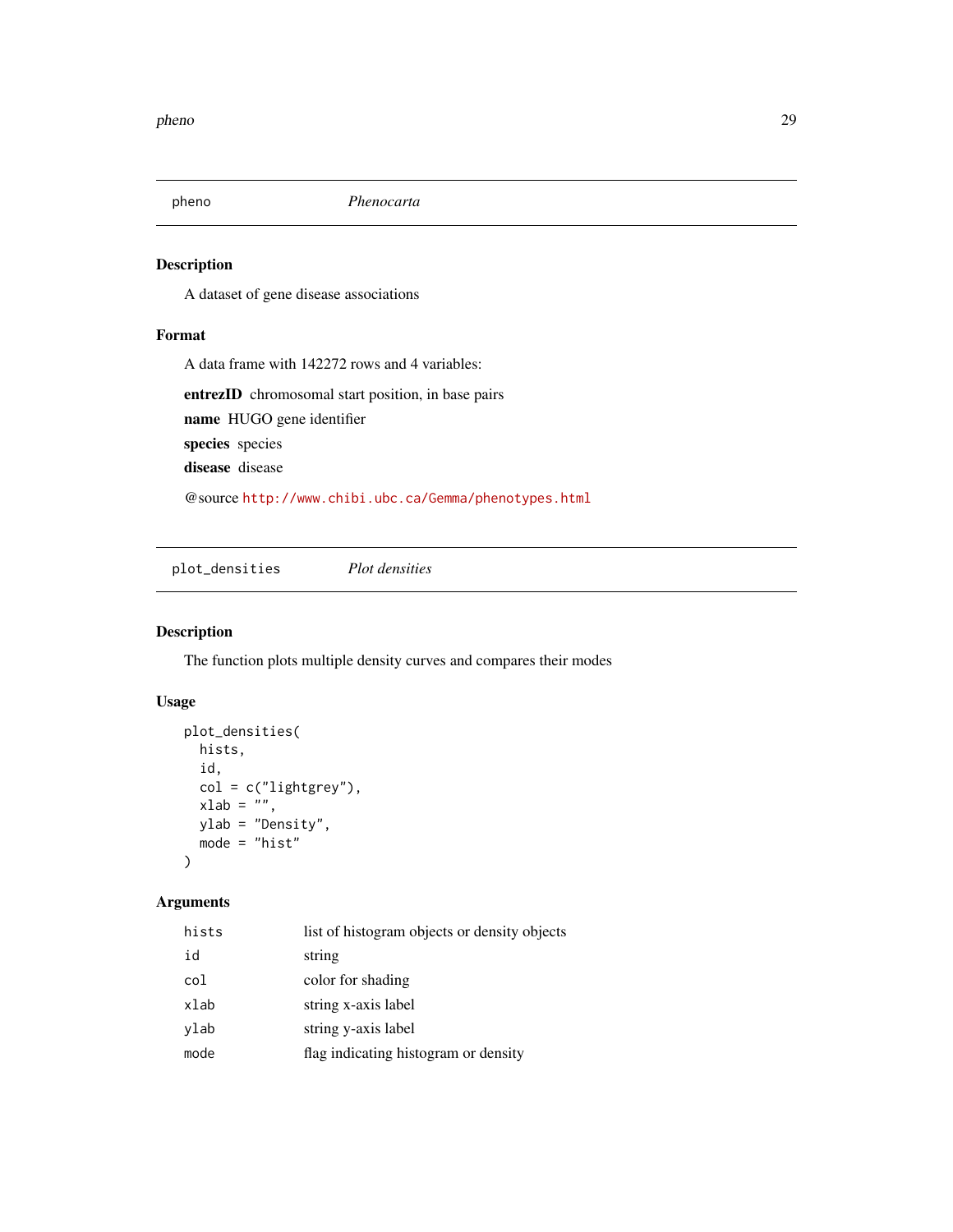<span id="page-28-0"></span>

A dataset of gene disease associations

#### Format

A data frame with 142272 rows and 4 variables:

entrezID chromosomal start position, in base pairs name HUGO gene identifier species species disease disease

@source <http://www.chibi.ubc.ca/Gemma/phenotypes.html>

plot\_densities *Plot densities*

#### Description

The function plots multiple density curves and compares their modes

#### Usage

```
plot_densities(
 hists,
  id,
  col = c("lightgrey"),
 xlab = "",
 ylab = "Density",
 mode = "hist"
)
```

| hists | list of histogram objects or density objects |
|-------|----------------------------------------------|
| id    | string                                       |
| col   | color for shading                            |
| xlab  | string x-axis label                          |
| vlab  | string y-axis label                          |
| mode  | flag indicating histogram or density         |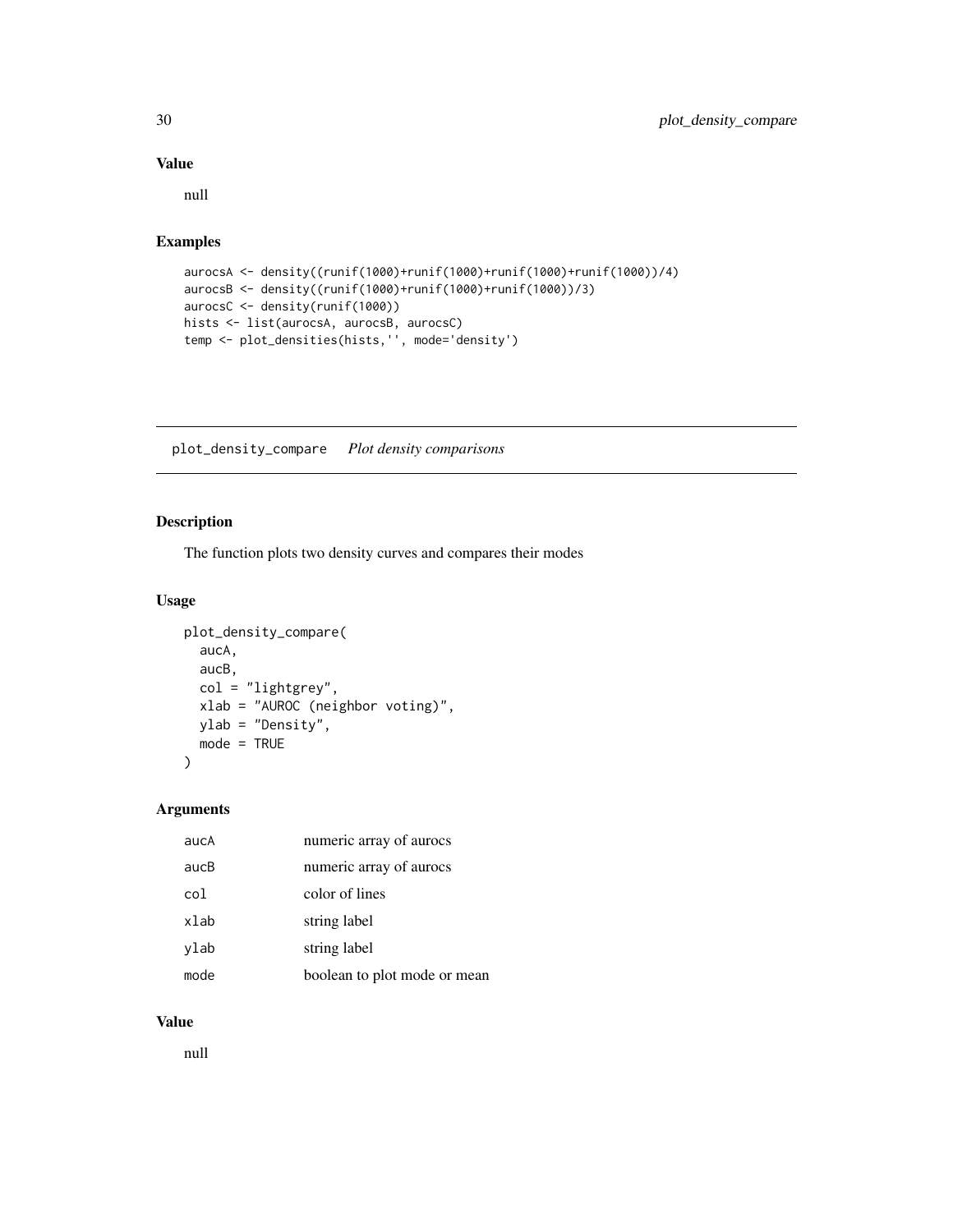#### Value

null

#### Examples

```
aurocsA <- density((runif(1000)+runif(1000)+runif(1000)+runif(1000))/4)
aurocsB <- density((runif(1000)+runif(1000)+runif(1000))/3)
aurocsC <- density(runif(1000))
hists <- list(aurocsA, aurocsB, aurocsC)
temp <- plot_densities(hists,'', mode='density')
```
plot\_density\_compare *Plot density comparisons*

#### Description

The function plots two density curves and compares their modes

#### Usage

```
plot_density_compare(
  aucA,
  aucB,
 col = "lightgrey",
  xlab = "AUROC (neighbor voting)",
 ylab = "Density",
 mode = TRUE\mathcal{L}
```
#### Arguments

| aucA | numeric array of aurocs      |
|------|------------------------------|
| aucB | numeric array of aurocs      |
| col  | color of lines               |
| xlab | string label                 |
| ylab | string label                 |
| mode | boolean to plot mode or mean |

#### Value

null

<span id="page-29-0"></span>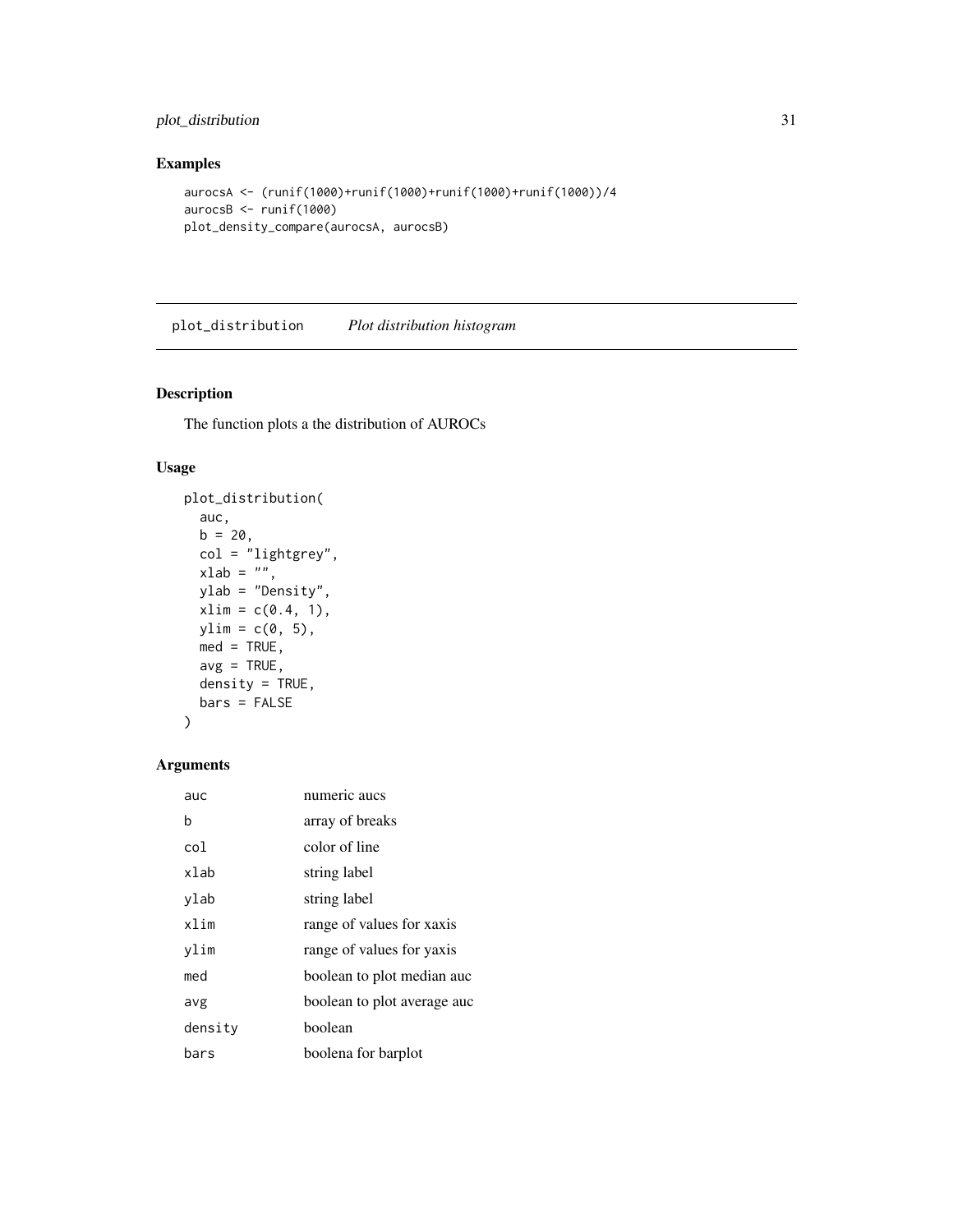#### <span id="page-30-0"></span>plot\_distribution 31

#### Examples

```
aurocsA <- (runif(1000)+runif(1000)+runif(1000)+runif(1000))/4
aurocsB <- runif(1000)
plot_density_compare(aurocsA, aurocsB)
```
plot\_distribution *Plot distribution histogram*

#### Description

The function plots a the distribution of AUROCs

#### Usage

```
plot_distribution(
  auc,
 b = 20,col = "lightgrey",
 xlab = "",
 ylab = "Density",
 xlim = c(0.4, 1),ylim = c(0, 5),med = TRUE,avg = TRUE,density = TRUE,
 bars = FALSE
)
```

| auc     | numeric aucs                |
|---------|-----------------------------|
| b       | array of breaks             |
| col     | color of line               |
| xlab    | string label                |
| ylab    | string label                |
| xlim    | range of values for xaxis   |
| vlim    | range of values for yaxis   |
| med     | boolean to plot median auc  |
| avg     | boolean to plot average auc |
| density | boolean                     |
| bars    | boolena for barplot         |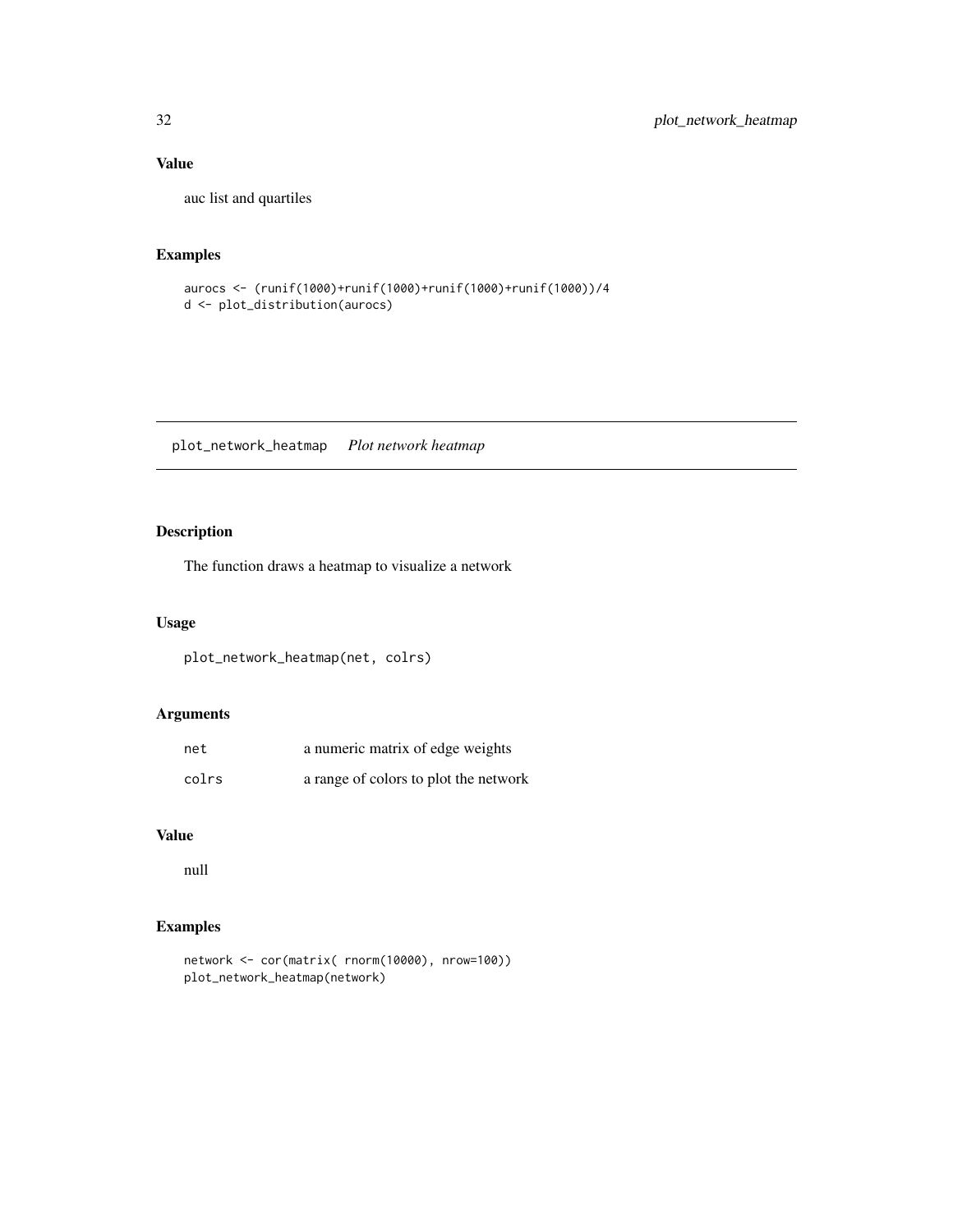#### Value

auc list and quartiles

#### Examples

```
aurocs <- (runif(1000)+runif(1000)+runif(1000)+runif(1000))/4
d <- plot_distribution(aurocs)
```
plot\_network\_heatmap *Plot network heatmap*

### Description

The function draws a heatmap to visualize a network

#### Usage

```
plot_network_heatmap(net, colrs)
```
#### Arguments

| net   | a numeric matrix of edge weights      |
|-------|---------------------------------------|
| colrs | a range of colors to plot the network |

#### Value

null

```
network <- cor(matrix( rnorm(10000), nrow=100))
plot_network_heatmap(network)
```
<span id="page-31-0"></span>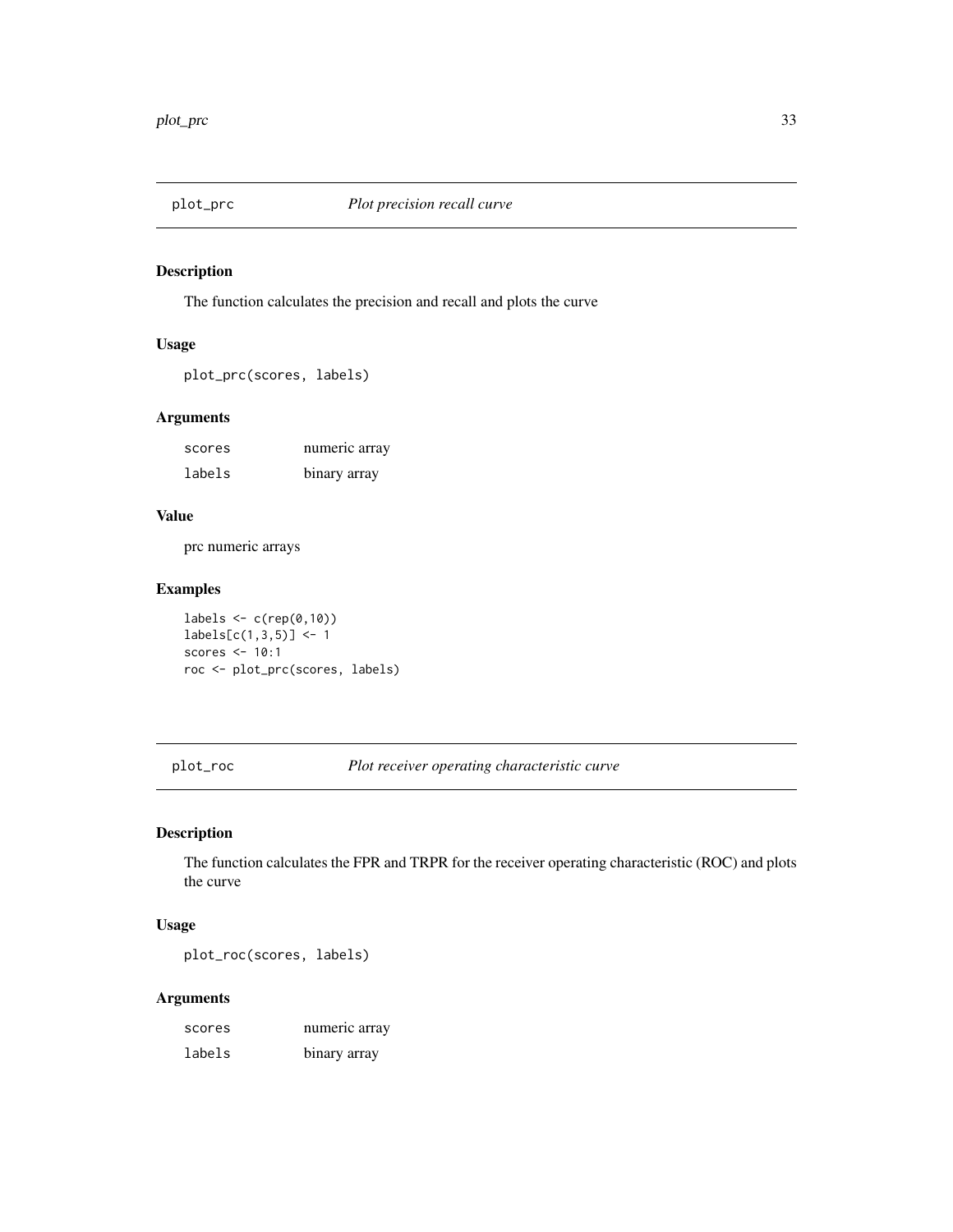<span id="page-32-0"></span>

The function calculates the precision and recall and plots the curve

#### Usage

plot\_prc(scores, labels)

#### Arguments

| scores | numeric array |
|--------|---------------|
| labels | binary array  |

#### Value

prc numeric arrays

### Examples

 $labels \leftarrow c(rep(\emptyset,1\emptyset))$  $labels[c(1,3,5)] < -1$ scores <- 10:1 roc <- plot\_prc(scores, labels)

plot\_roc *Plot receiver operating characteristic curve*

#### Description

The function calculates the FPR and TRPR for the receiver operating characteristic (ROC) and plots the curve

#### Usage

plot\_roc(scores, labels)

| scores | numeric array |
|--------|---------------|
| labels | binary array  |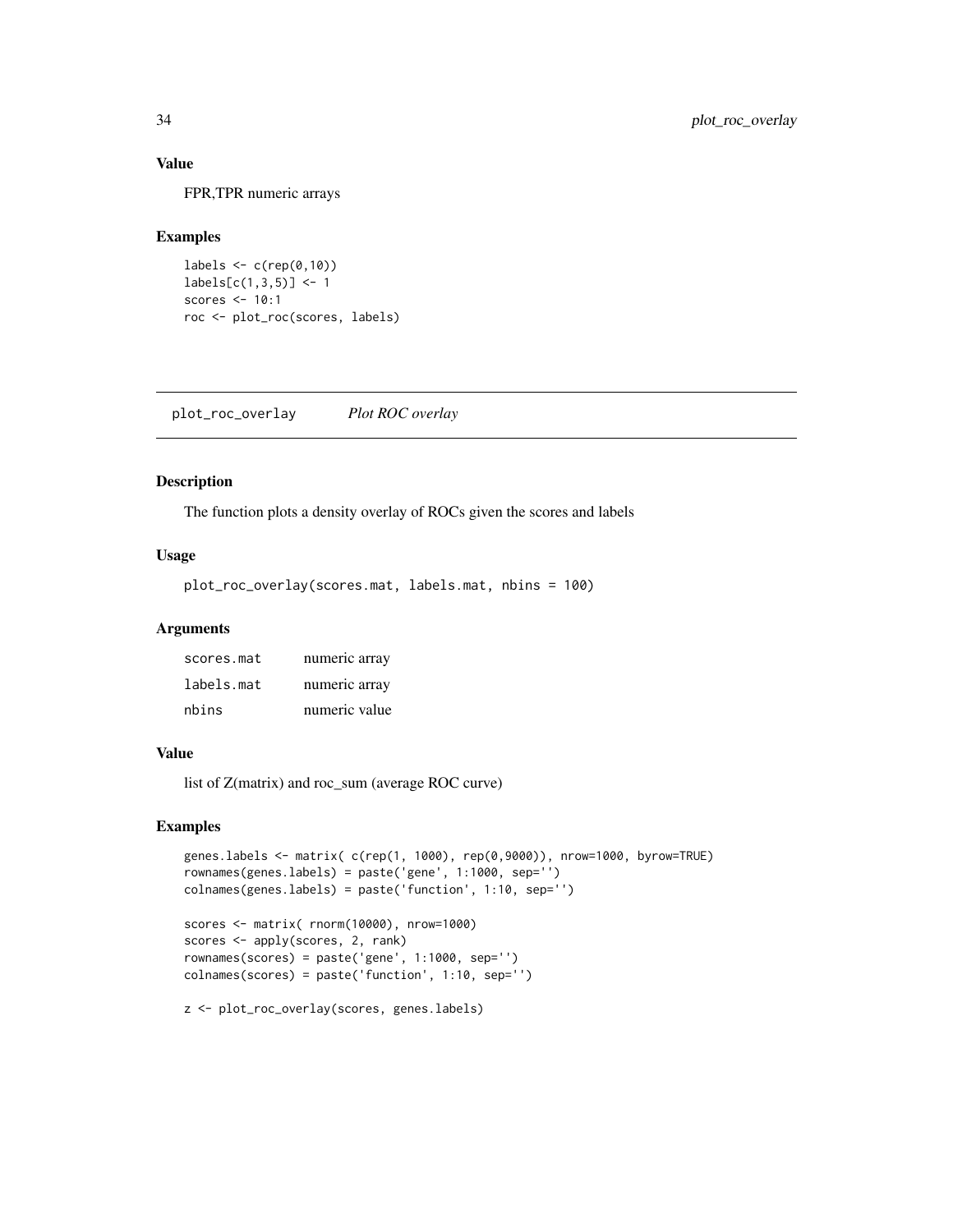#### Value

FPR,TPR numeric arrays

#### Examples

```
labels \leq c (rep(0,10))
labels[c(1,3,5)] < -1scores <- 10:1
roc <- plot_roc(scores, labels)
```
plot\_roc\_overlay *Plot ROC overlay*

#### Description

The function plots a density overlay of ROCs given the scores and labels

#### Usage

plot\_roc\_overlay(scores.mat, labels.mat, nbins = 100)

#### Arguments

| scores.mat | numeric array |
|------------|---------------|
| labels.mat | numeric array |
| nbins      | numeric value |

#### Value

list of Z(matrix) and roc\_sum (average ROC curve)

#### Examples

```
genes.labels <- matrix( c(rep(1, 1000), rep(0,9000)), nrow=1000, byrow=TRUE)
rownames(genes.labels) = paste('gene', 1:1000, sep='')
colnames(genes.labels) = paste('function', 1:10, sep='')
scores <- matrix( rnorm(10000), nrow=1000)
scores <- apply(scores, 2, rank)
rownames(scores) = paste('gene', 1:1000, sep='')
colnames(scores) = paste('function', 1:10, sep='')
```
z <- plot\_roc\_overlay(scores, genes.labels)

<span id="page-33-0"></span>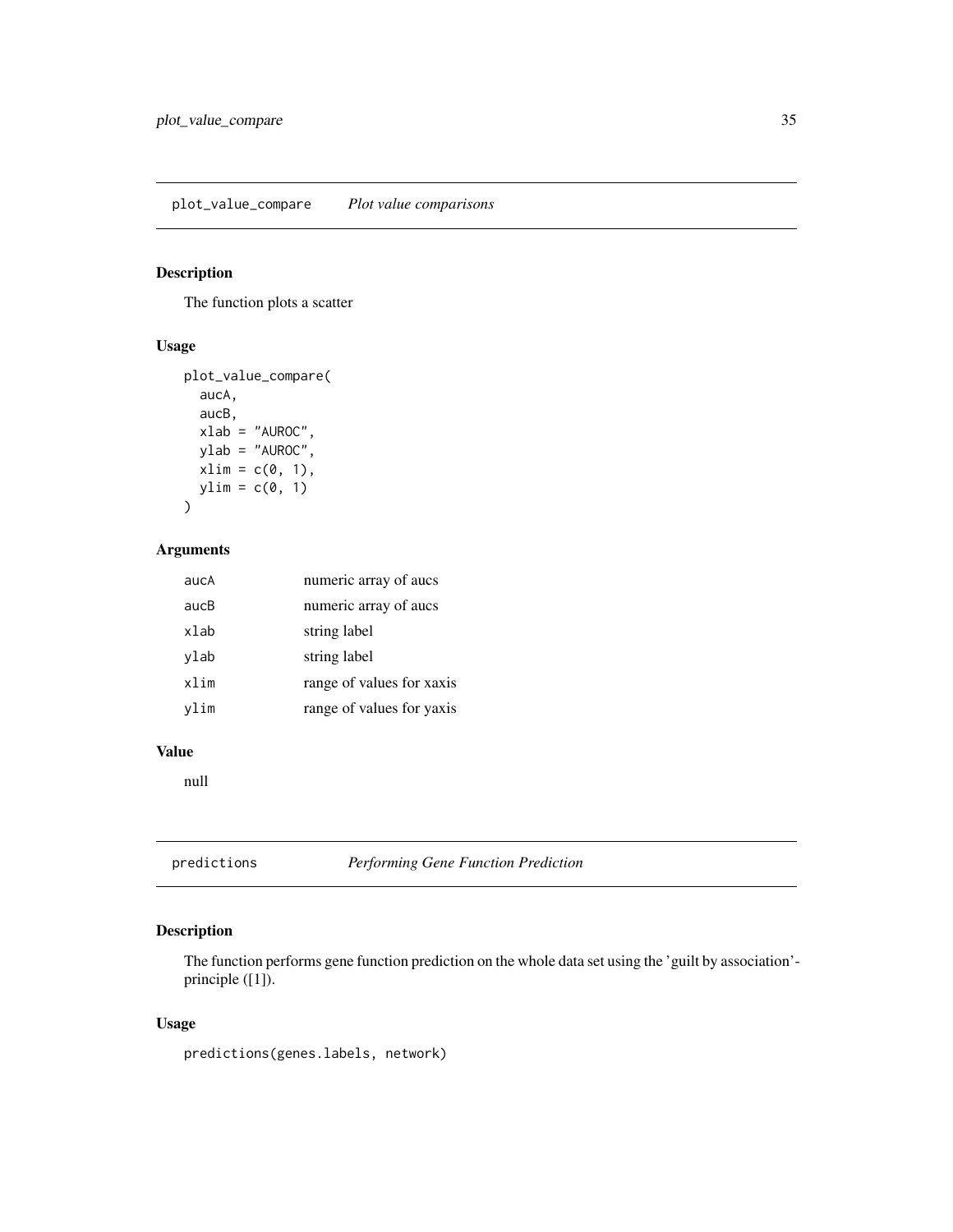<span id="page-34-0"></span>The function plots a scatter

#### Usage

```
plot_value_compare(
  aucA,
  aucB,
 xlab = "AUROC",ylab = "AUROC",
 xlim = c(0, 1),ylim = c(0, 1)\mathcal{L}
```
#### Arguments

| aucA | numeric array of aucs     |
|------|---------------------------|
| aucB | numeric array of aucs     |
| xlab | string label              |
| ylab | string label              |
| xlim | range of values for xaxis |
| vlim | range of values for yaxis |

#### Value

null

predictions *Performing Gene Function Prediction*

#### Description

The function performs gene function prediction on the whole data set using the 'guilt by association' principle ([1]).

#### Usage

predictions(genes.labels, network)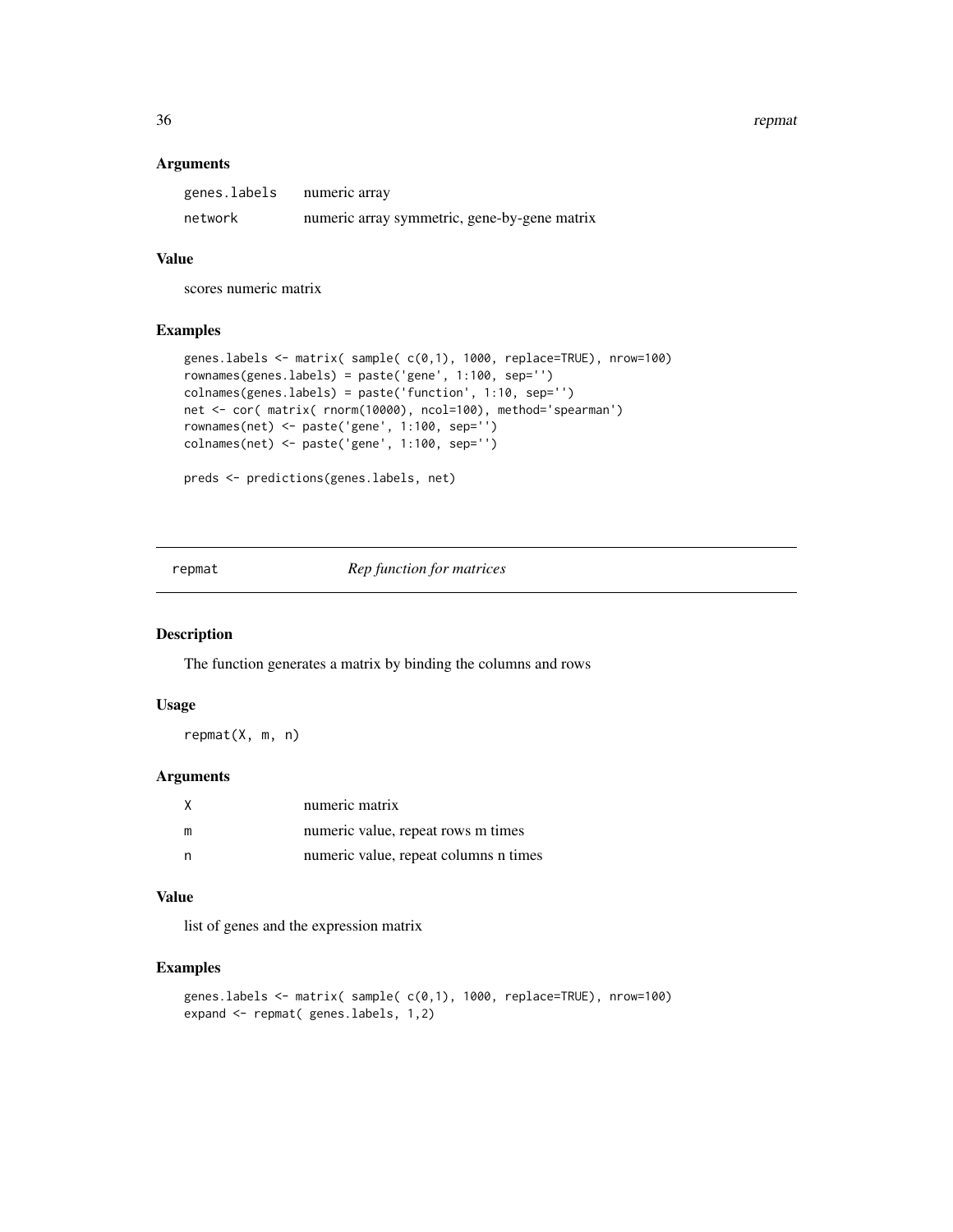<span id="page-35-0"></span>36 repmat

#### Arguments

| genes.labels | numeric array                                |
|--------------|----------------------------------------------|
| network      | numeric array symmetric, gene-by-gene matrix |

#### Value

scores numeric matrix

#### Examples

```
genes.labels <- matrix( sample( c(0,1), 1000, replace=TRUE), nrow=100)
rownames(genes.labels) = paste('gene', 1:100, sep='')
colnames(genes.labels) = paste('function', 1:10, sep='')
net <- cor( matrix( rnorm(10000), ncol=100), method='spearman')
rownames(net) <- paste('gene', 1:100, sep='')
colnames(net) <- paste('gene', 1:100, sep='')
```

```
preds <- predictions(genes.labels, net)
```
repmat *Rep function for matrices*

#### Description

The function generates a matrix by binding the columns and rows

#### Usage

repmat(X, m, n)

#### Arguments

|  | numeric matrix                        |
|--|---------------------------------------|
|  | numeric value, repeat rows m times    |
|  | numeric value, repeat columns n times |

#### Value

list of genes and the expression matrix

```
genes.labels <- matrix( sample( c(0,1), 1000, replace=TRUE), nrow=100)
expand <- repmat( genes.labels, 1,2)
```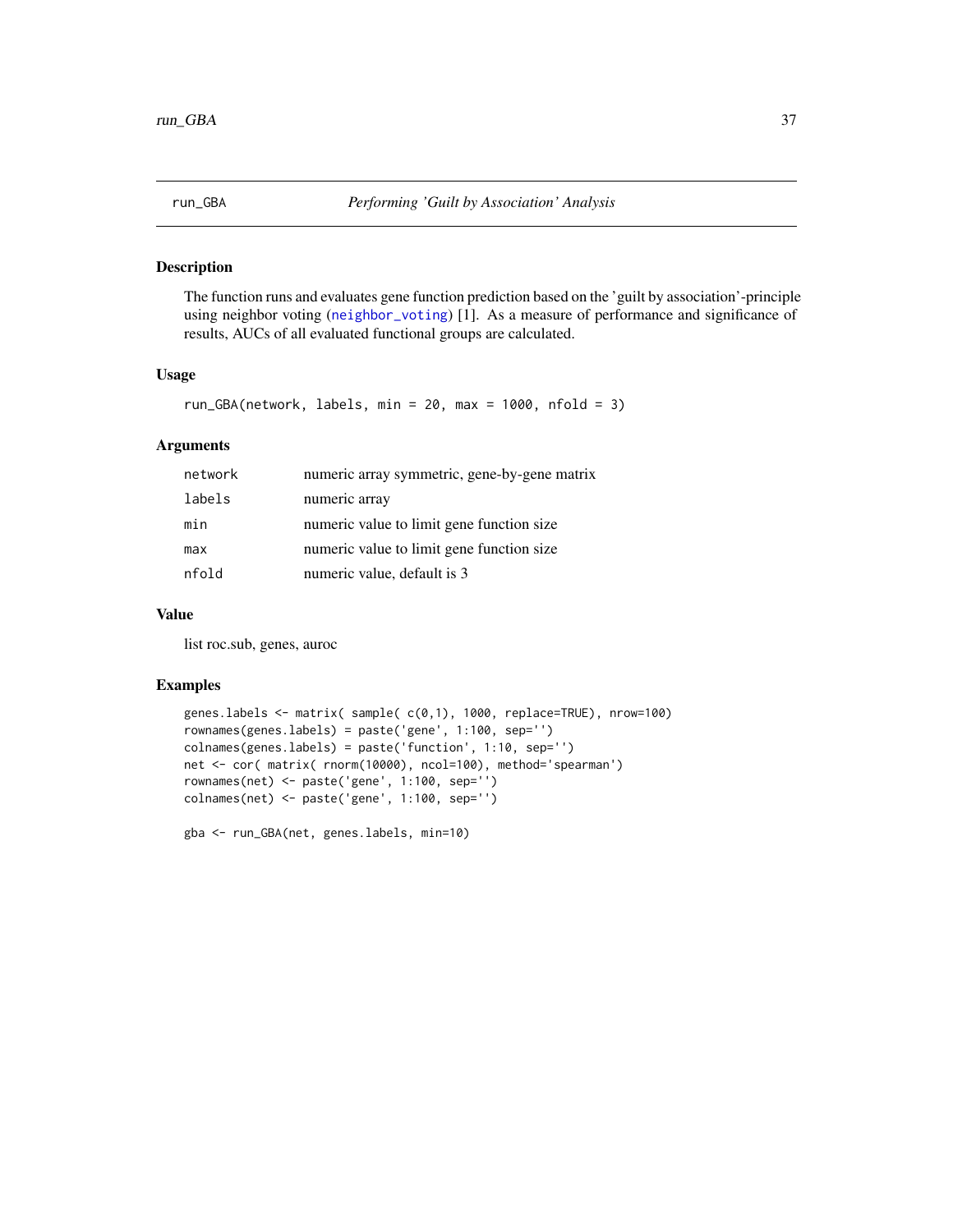<span id="page-36-0"></span>

The function runs and evaluates gene function prediction based on the 'guilt by association'-principle using neighbor voting ([neighbor\\_voting](#page-25-1)) [1]. As a measure of performance and significance of results, AUCs of all evaluated functional groups are calculated.

#### Usage

```
run_GBA(network, labels, min = 20, max = 1000, nfold = 3)
```
#### Arguments

| network | numeric array symmetric, gene-by-gene matrix |
|---------|----------------------------------------------|
| labels  | numeric array                                |
| min     | numeric value to limit gene function size    |
| max     | numeric value to limit gene function size    |
| nfold   | numeric value, default is 3                  |

#### Value

list roc.sub, genes, auroc

```
genes.labels <- matrix( sample( c(0,1), 1000, replace=TRUE), nrow=100)
rownames(genes.labels) = paste('gene', 1:100, sep='')
colnames(genes.labels) = paste('function', 1:10, sep='')
net <- cor( matrix( rnorm(10000), ncol=100), method='spearman')
rownames(net) <- paste('gene', 1:100, sep='')
colnames(net) <- paste('gene', 1:100, sep='')
gba <- run_GBA(net, genes.labels, min=10)
```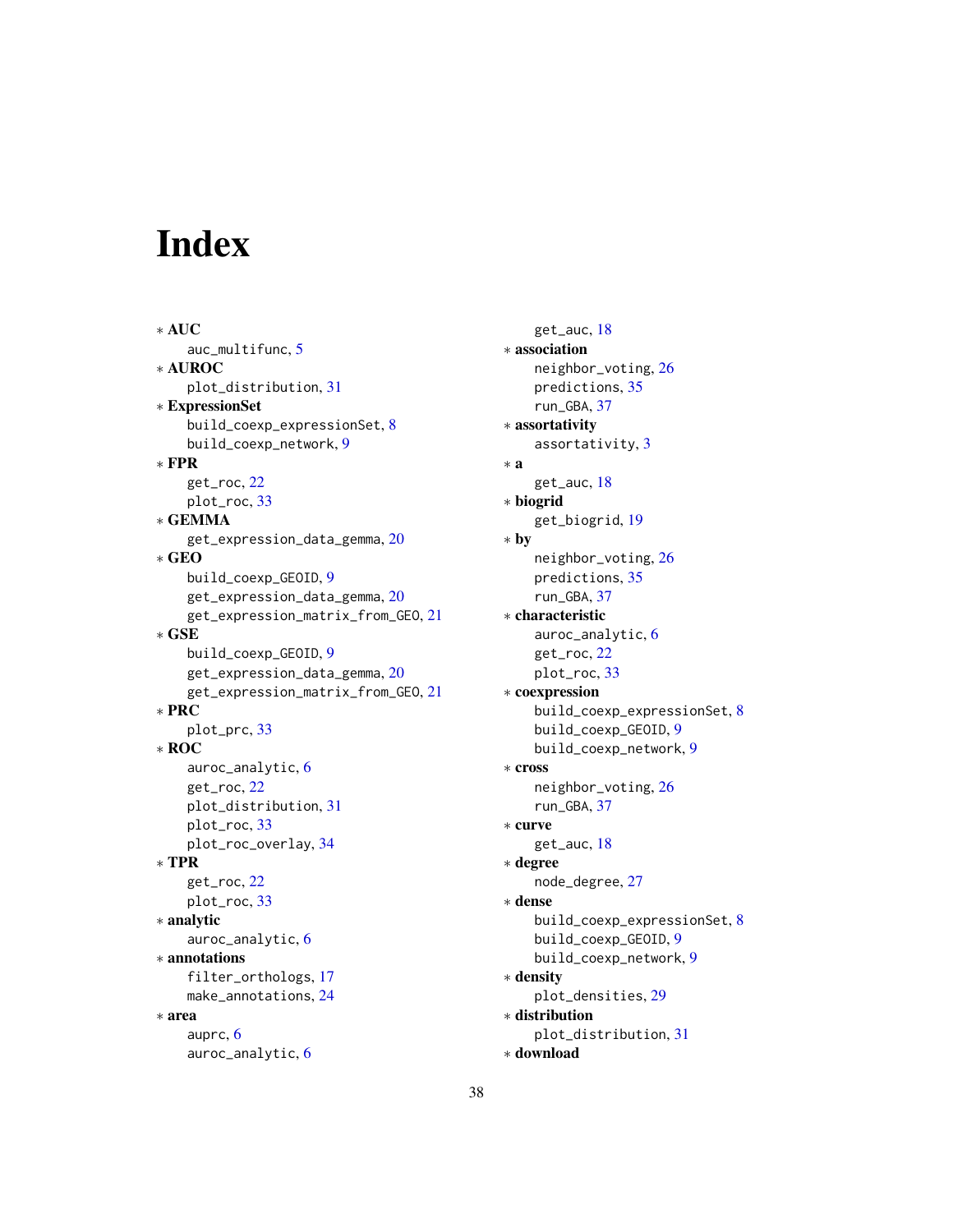# <span id="page-37-0"></span>Index

∗ AUC auc\_multifunc, [5](#page-4-0) ∗ AUROC plot\_distribution, [31](#page-30-0) ∗ ExpressionSet build\_coexp\_expressionSet, [8](#page-7-0) build\_coexp\_network, [9](#page-8-0) ∗ FPR get\_roc, [22](#page-21-0) plot\_roc, [33](#page-32-0) ∗ GEMMA get\_expression\_data\_gemma, [20](#page-19-0) ∗ GEO build\_coexp\_GEOID, [9](#page-8-0) get\_expression\_data\_gemma, [20](#page-19-0) get\_expression\_matrix\_from\_GEO, [21](#page-20-0) ∗ GSE build\_coexp\_GEOID, [9](#page-8-0) get\_expression\_data\_gemma, [20](#page-19-0) get\_expression\_matrix\_from\_GEO, [21](#page-20-0) ∗ PRC plot\_prc, [33](#page-32-0) ∗ ROC auroc\_analytic, [6](#page-5-0) get\_roc, [22](#page-21-0) plot\_distribution, [31](#page-30-0) plot\_roc, [33](#page-32-0) plot\_roc\_overlay, [34](#page-33-0) ∗ TPR get\_roc, [22](#page-21-0) plot\_roc, [33](#page-32-0) ∗ analytic auroc\_analytic, [6](#page-5-0) ∗ annotations filter\_orthologs, [17](#page-16-0) make\_annotations, [24](#page-23-0) ∗ area auprc, [6](#page-5-0) auroc\_analytic, [6](#page-5-0)

get\_auc, [18](#page-17-0) ∗ association neighbor\_voting, [26](#page-25-0) predictions, [35](#page-34-0) run\_GBA, [37](#page-36-0) ∗ assortativity assortativity, [3](#page-2-0) ∗ a get\_auc, [18](#page-17-0) ∗ biogrid get\_biogrid, [19](#page-18-0) ∗ by neighbor\_voting, [26](#page-25-0) predictions, [35](#page-34-0) run\_GBA, [37](#page-36-0) ∗ characteristic auroc\_analytic, [6](#page-5-0) get\_roc, [22](#page-21-0) plot\_roc, [33](#page-32-0) ∗ coexpression build\_coexp\_expressionSet, [8](#page-7-0) build\_coexp\_GEOID, [9](#page-8-0) build\_coexp\_network, [9](#page-8-0) ∗ cross neighbor\_voting, [26](#page-25-0) run\_GBA, [37](#page-36-0) ∗ curve get\_auc, [18](#page-17-0) ∗ degree node\_degree, [27](#page-26-0) ∗ dense build\_coexp\_expressionSet, [8](#page-7-0) build\_coexp\_GEOID, [9](#page-8-0) build\_coexp\_network, [9](#page-8-0) ∗ density plot\_densities, [29](#page-28-0) ∗ distribution plot\_distribution, [31](#page-30-0) ∗ download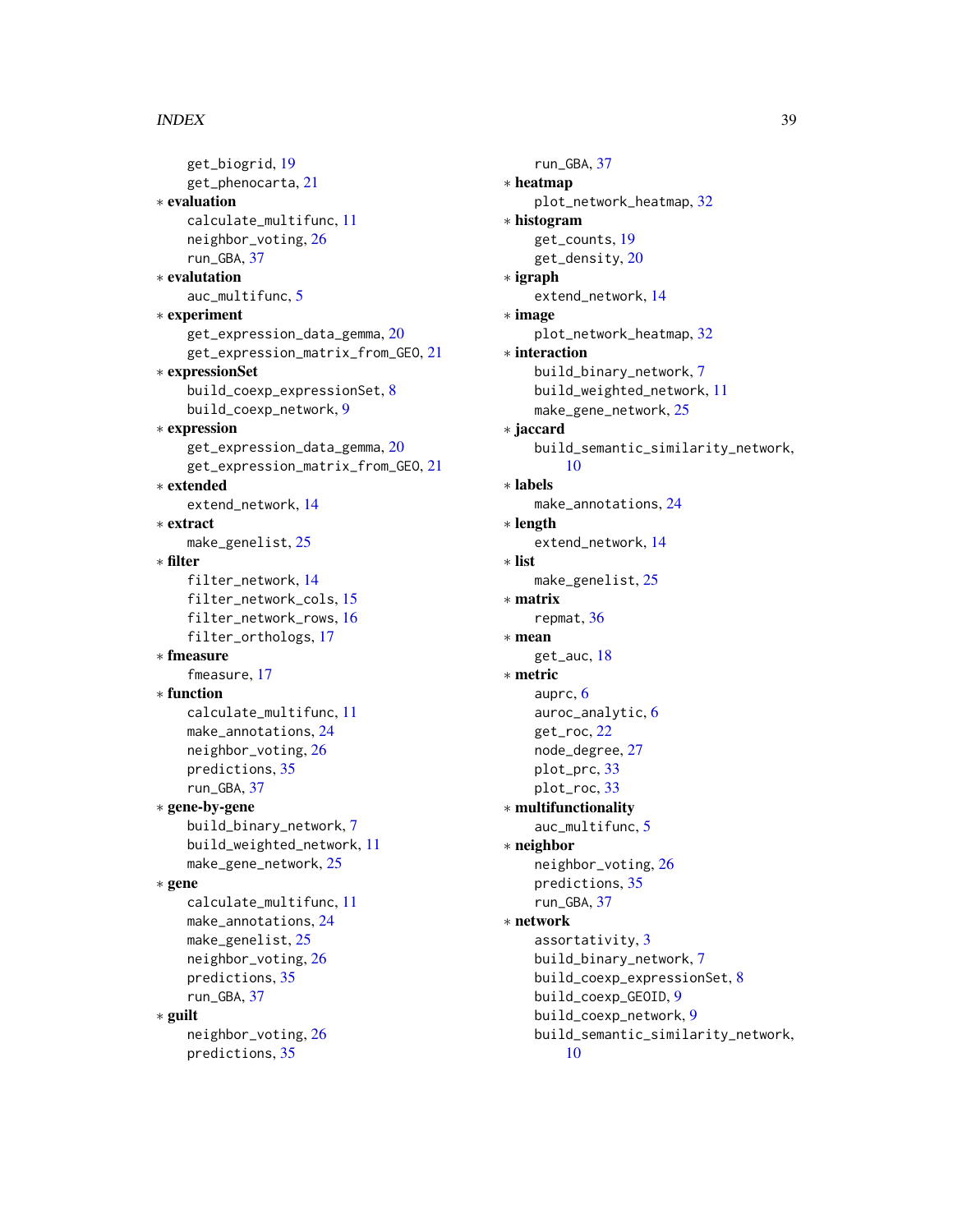#### INDEX  $39$

```
get_biogrid, 19
    get_phenocarta, 21
∗ evaluation
    calculate_multifunc, 11
    neighbor_voting, 26
    run_GBA, 37
∗ evalutation
    auc_multifunc, 5
∗ experiment
    get_expression_data_gemma, 20
    get_expression_matrix_from_GEO, 21
∗ expressionSet
    build_coexp_expressionSet, 8
    build_coexp_network, 9
∗ expression
    get_expression_data_gemma, 20
    get_expression_matrix_from_GEO, 21
∗ extended
    extend_network, 14
∗ extract
    make_genelist, 25
∗ filter
    filter_network, 14
    filter_network_cols, 15
    filter_network_rows, 16
    filter_orthologs, 17
∗ fmeasure
    fmeasure, 17
∗ function
    calculate_multifunc, 11
    24
    neighbor_voting, 26
    predictions, 35
    run_GBA, 37
∗ gene-by-gene
    build_binary_network, 7
    build_weighted_network, 11
    make_gene_network, 25
∗ gene
    calculate_multifunc, 11
    make_annotations, 24
    make_genelist, 25
    neighbor_voting, 26
    predictions, 35
    run_GBA, 37
∗ guilt
    neighbor_voting, 26
    predictions, 35
```
run\_GBA, [37](#page-36-0) ∗ heatmap plot\_network\_heatmap, [32](#page-31-0) ∗ histogram get\_counts, [19](#page-18-0) get\_density, [20](#page-19-0) ∗ igraph extend\_network, [14](#page-13-0) ∗ image plot\_network\_heatmap, [32](#page-31-0) ∗ interaction build\_binary\_network, [7](#page-6-0) build\_weighted\_network, [11](#page-10-0) make\_gene\_network, [25](#page-24-0) ∗ jaccard build\_semantic\_similarity\_network, [10](#page-9-0) ∗ labels make\_annotations, [24](#page-23-0) ∗ length extend\_network, [14](#page-13-0) ∗ list make\_genelist, [25](#page-24-0) ∗ matrix repmat, [36](#page-35-0) ∗ mean get\_auc, [18](#page-17-0) ∗ metric auprc, [6](#page-5-0) auroc\_analytic, [6](#page-5-0) get\_roc, [22](#page-21-0) node\_degree, [27](#page-26-0) plot\_prc, [33](#page-32-0) plot\_roc, [33](#page-32-0) ∗ multifunctionality auc\_multifunc, [5](#page-4-0) ∗ neighbor neighbor\_voting, [26](#page-25-0) predictions, [35](#page-34-0) run\_GBA, [37](#page-36-0) ∗ network assortativity, [3](#page-2-0) build\_binary\_network, [7](#page-6-0) build\_coexp\_expressionSet, [8](#page-7-0) build\_coexp\_GEOID, [9](#page-8-0) build\_coexp\_network, [9](#page-8-0) build\_semantic\_similarity\_network, [10](#page-9-0)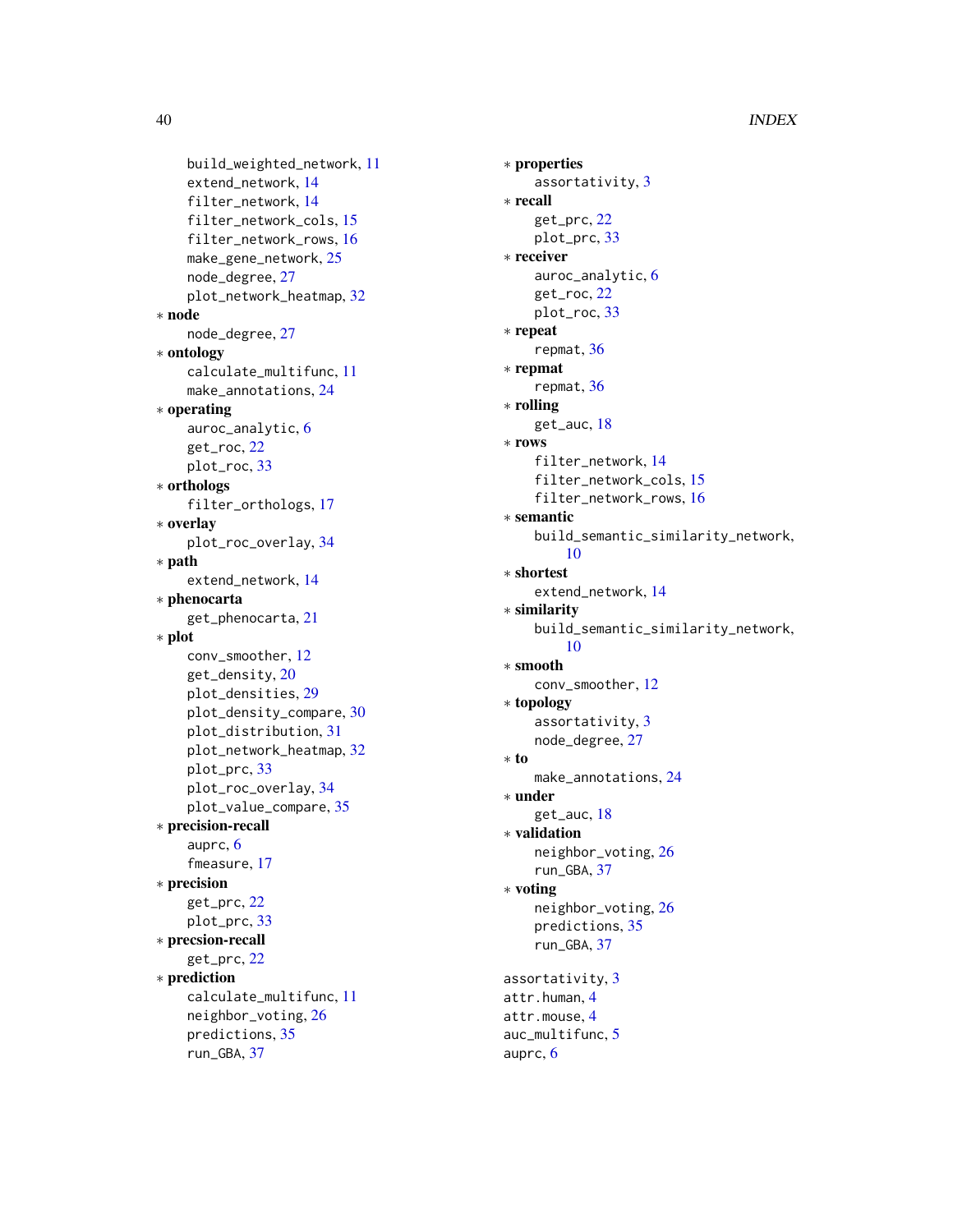40 INDEX

```
build_weighted_network, 11
    extend_network, 14
    filter_network, 14
    filter_network_cols, 15
    filter_network_rows, 16
    make_gene_network, 25
    node_degree, 27
    plot_network_heatmap, 32
∗ node
    node_degree, 27
∗ ontology
    calculate_multifunc, 11
    make_annotations, 24
∗ operating
    auroc_analytic, 6
    get_roc, 22
    plot_roc, 33
∗ orthologs
    filter_orthologs, 17
∗ overlay
    plot_roc_overlay, 34
∗ path
    extend_network, 14
∗ phenocarta
    get_phenocarta, 21
∗ plot
    conv_smoother, 12
    get_density, 20
    plot_densities, 29
    plot_density_compare, 30
    plot_distribution, 31
    plot_network_heatmap, 32
    plot_prc, 33
    plot_roc_overlay, 34
    plot_value_compare, 35
∗ precision-recall
    auprc, 6
    fmeasure, 17
∗ precision
    get_prc, 22
    plot_prc, 33
∗ precsion-recall
    get_prc, 22
∗ prediction
    calculate_multifunc, 11
    neighbor_voting, 26
    predictions, 35
    run_GBA, 37
```

```
∗ properties
    assortativity, 3
∗ recall
    get_prc, 22
    plot_prc, 33
∗ receiver
    auroc_analytic, 6
    get_roc, 22
    plot_roc, 33
∗ repeat
    repmat, 36
∗ repmat
    repmat, 36
∗ rolling
    get_auc, 18
∗ rows
    filter_network, 14
    filter_network_cols, 15
    filter_network_rows, 16
∗ semantic
    build_semantic_similarity_network,
         10
∗ shortest
    extend_network, 14
∗ similarity
    build_semantic_similarity_network,
         10
∗ smooth
    conv_smoother, 12
∗ topology
    assortativity, 3
    node_degree, 27
∗ to
    make_annotations, 24
∗ under
    get_auc, 18
∗ validation
    neighbor_voting, 26
    run_GBA, 37
∗ voting
    neighbor_voting, 26
    predictions, 35
    run_GBA, 37
assortativity, 3
attr.human, 4
attr.mouse, 4
auc_multifunc, 5
auprc, 6
```